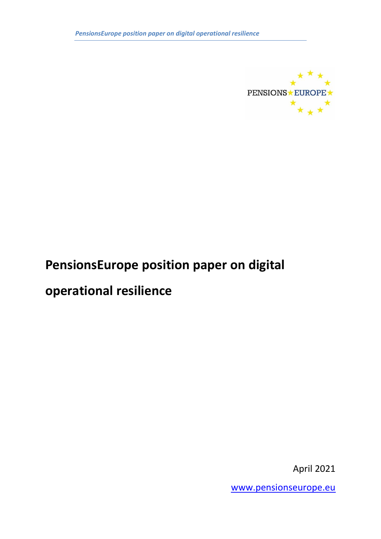

# **PensionsEurope position paper on digital**

# **operational resilience**

April 2021

[www.pensionseurope.eu](http://www.pensionseurope.eu/)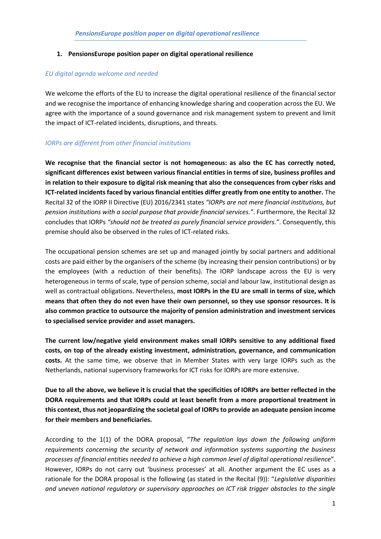#### **1. PensionsEurope position paper on digital operational resilience**

#### *EU digital agenda welcome and needed*

We welcome the efforts of the EU to increase the digital operational resilience of the financial sector and we recognise the importance of enhancing knowledge sharing and cooperation across the EU. We agree with the importance of a sound governance and risk management system to prevent and limit the impact of ICT-related incidents, disruptions, and threats.

#### *IORPs are different from other financial institutions*

**We recognise that the financial sector is not homogeneous: as also the EC has correctly noted, significant differences exist between various financial entities in terms of size, business profiles and in relation to their exposure to digital risk meaning that also the consequences from cyber risks and ICT-related incidents faced by various financial entities differ greatly from one entity to another.** The Recital 32 of the IORP II Directive (EU) 2016/2341 states *"IORPs are not mere financial institutions, but pension institutions with a social purpose that provide financial services."*. Furthermore, the Recital 32 concludes that IORPs *"should not be treated as purely financial service providers."*. Consequently, this premise should also be observed in the rules of ICT-related risks.

The occupational pension schemes are set up and managed jointly by social partners and additional costs are paid either by the organisers of the scheme (by increasing their pension contributions) or by the employees (with a reduction of their benefits). The IORP landscape across the EU is very heterogeneous in terms of scale, type of pension scheme, social and labour law, institutional design as well as contractual obligations. Nevertheless, **most IORPs in the EU are small in terms of size, which means that often they do not even have their own personnel, so they use sponsor resources. It is also common practice to outsource the majority of pension administration and investment services to specialised service provider and asset managers.**

**The current low/negative yield environment makes small IORPs sensitive to any additional fixed costs, on top of the already existing investment, administration, governance, and communication costs.** At the same time, we observe that in Member States with very large IORPs such as the Netherlands, national supervisory frameworks for ICT risks for IORPs are more extensive.

**Due to all the above, we believe it is crucial that the specificities of IORPs are better reflected in the DORA requirements and that IORPs could at least benefit from a more proportional treatment in this context, thus not jeopardizing the societal goal of IORPs to provide an adequate pension income for their members and beneficiaries.** 

According to the 1(1) of the DORA proposal, "*The regulation lays down the following uniform requirements concerning the security of network and information systems supporting the business processes of financial entities needed to achieve a high common level of digital operational resilience*". However, IORPs do not carry out 'business processes' at all. Another argument the EC uses as a rationale for the DORA proposal is the following (as stated in the Recital (9)): "*Legislative disparities and uneven national regulatory or supervisory approaches on ICT risk trigger obstacles to the single*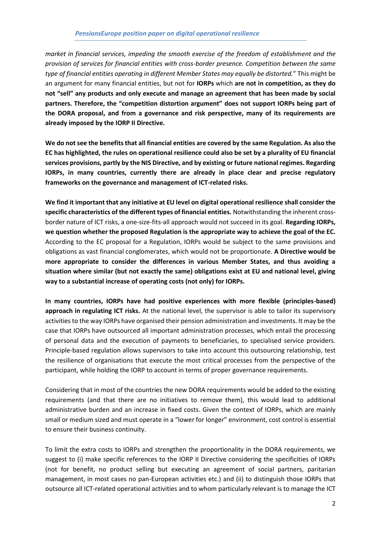*market in financial services, impeding the smooth exercise of the freedom of establishment and the provision of services for financial entities with cross-border presence. Competition between the same type of financial entities operating in different Member States may equally be distorted.*" This might be an argument for many financial entities, but not for **IORPs** which **are not in competition, as they do not "sell" any products and only execute and manage an agreement that has been made by social partners. Therefore, the "competition distortion argument" does not support IORPs being part of the DORA proposal, and from a governance and risk perspective, many of its requirements are already imposed by the IORP II Directive.**

**We do not see the benefits that all financial entities are covered by the same Regulation. As also the EC has highlighted, the rules on operational resilience could also be set by a plurality of EU financial services provisions, partly by the NIS Directive, and by existing or future national regimes. Regarding IORPs, in many countries, currently there are already in place clear and precise regulatory frameworks on the governance and management of ICT-related risks.**

**We find it important that any initiative at EU level on digital operational resilience shall consider the specific characteristics of the different types of financial entities.** Notwithstanding the inherent crossborder nature of ICT risks, a one-size-fits-all approach would not succeed in its goal. **Regarding IORPs, we question whether the proposed Regulation is the appropriate way to achieve the goal of the EC.** According to the EC proposal for a Regulation, IORPs would be subject to the same provisions and obligations as vast financial conglomerates, which would not be proportionate. **A Directive would be more appropriate to consider the differences in various Member States, and thus avoiding a situation where similar (but not exactly the same) obligations exist at EU and national level, giving way to a substantial increase of operating costs (not only) for IORPs.** 

**In many countries, IORPs have had positive experiences with more flexible (principles-based) approach in regulating ICT risks.** At the national level, the supervisor is able to tailor its supervisory activities to the way IORPs have organised their pension administration and investments. It may be the case that IORPs have outsourced all important administration processes, which entail the processing of personal data and the execution of payments to beneficiaries, to specialised service providers. Principle-based regulation allows supervisors to take into account this outsourcing relationship, test the resilience of organisations that execute the most critical processes from the perspective of the participant, while holding the IORP to account in terms of proper governance requirements.

Considering that in most of the countries the new DORA requirements would be added to the existing requirements (and that there are no initiatives to remove them), this would lead to additional administrative burden and an increase in fixed costs. Given the context of IORPs, which are mainly small or medium sized and must operate in a "lower for longer" environment, cost control is essential to ensure their business continuity.

To limit the extra costs to IORPs and strengthen the proportionality in the DORA requirements, we suggest to (i) make specific references to the IORP II Directive considering the specificities of IORPs (not for benefit, no product selling but executing an agreement of social partners, paritarian management, in most cases no pan-European activities etc.) and (ii) to distinguish those IORPs that outsource all ICT-related operational activities and to whom particularly relevant is to manage the ICT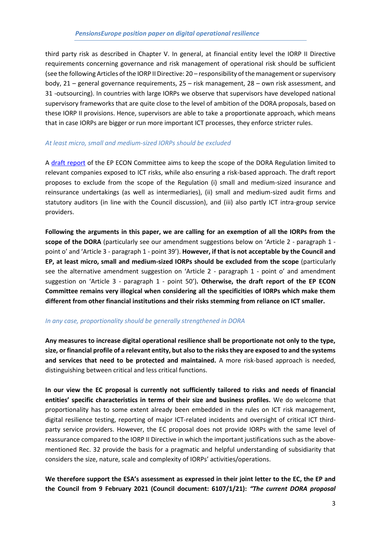third party risk as described in Chapter V. In general, at financial entity level the IORP II Directive requirements concerning governance and risk management of operational risk should be sufficient (see the following Articles of the IORP II Directive: 20 – responsibility of the management or supervisory body, 21 – general governance requirements, 25 – risk management, 28 – own risk assessment, and 31 -outsourcing). In countries with large IORPs we observe that supervisors have developed national supervisory frameworks that are quite close to the level of ambition of the DORA proposals, based on these IORP II provisions. Hence, supervisors are able to take a proportionate approach, which means that in case IORPs are bigger or run more important ICT processes, they enforce stricter rules.

#### *At least micro, small and medium-sized IORPs should be excluded*

A [draft report](https://www.europarl.europa.eu/doceo/document/ECON-PR-689801_EN.pdf) of the EP ECON Committee aims to keep the scope of the DORA Regulation limited to relevant companies exposed to ICT risks, while also ensuring a risk-based approach. The draft report proposes to exclude from the scope of the Regulation (i) small and medium-sized insurance and reinsurance undertakings (as well as intermediaries), (ii) small and medium-sized audit firms and statutory auditors (in line with the Council discussion), and (iii) also partly ICT intra-group service providers.

**Following the arguments in this paper, we are calling for an exemption of all the IORPs from the scope of the DORA** (particularly see our amendment suggestions below on 'Article 2 - paragraph 1 point o' and 'Article 3 - paragraph 1 - point 39'). **However, if that is not acceptable by the Council and EP, at least micro, small and medium-sized IORPs should be excluded from the scope** (particularly see the alternative amendment suggestion on 'Article 2 - paragraph 1 - point o' and amendment suggestion on 'Article 3 - paragraph 1 - point 50')**. Otherwise, the draft report of the EP ECON Committee remains very illogical when considering all the specificities of IORPs which make them different from other financial institutions and their risks stemming from reliance on ICT smaller.**

#### *In any case, proportionality should be generally strengthened in DORA*

**Any measures to increase digital operational resilience shall be proportionate not only to the type, size, or financial profile of a relevant entity, but also to the risks they are exposed to and the systems and services that need to be protected and maintained.** A more risk-based approach is needed, distinguishing between critical and less critical functions.

**In our view the EC proposal is currently not sufficiently tailored to risks and needs of financial entities' specific characteristics in terms of their size and business profiles.** We do welcome that proportionality has to some extent already been embedded in the rules on ICT risk management, digital resilience testing, reporting of major ICT-related incidents and oversight of critical ICT thirdparty service providers. However, the EC proposal does not provide IORPs with the same level of reassurance compared to the IORP II Directive in which the important justifications such as the abovementioned Rec. 32 provide the basis for a pragmatic and helpful understanding of subsidiarity that considers the size, nature, scale and complexity of IORPs' activities/operations.

**We therefore support the ESA's assessment as expressed in their joint letter to the EC, the EP and the Council from 9 February 2021 (Council document: 6107/1/21):** *"The current DORA proposal*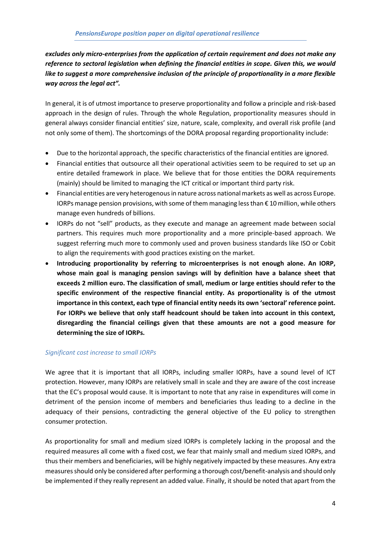*excludes only micro-enterprises from the application of certain requirement and does not make any reference to sectoral legislation when defining the financial entities in scope. Given this, we would like to suggest a more comprehensive inclusion of the principle of proportionality in a more flexible way across the legal act".*

In general, it is of utmost importance to preserve proportionality and follow a principle and risk-based approach in the design of rules. Through the whole Regulation, proportionality measures should in general always consider financial entities' size, nature, scale, complexity, and overall risk profile (and not only some of them). The shortcomings of the DORA proposal regarding proportionality include:

- Due to the horizontal approach, the specific characteristics of the financial entities are ignored.
- Financial entities that outsource all their operational activities seem to be required to set up an entire detailed framework in place. We believe that for those entities the DORA requirements (mainly) should be limited to managing the ICT critical or important third party risk.
- Financial entities are very heterogenous in nature across national markets as well as across Europe. IORPs manage pension provisions, with some of them managing less than € 10 million, while others manage even hundreds of billions.
- IORPs do not "sell" products, as they execute and manage an agreement made between social partners. This requires much more proportionality and a more principle-based approach. We suggest referring much more to commonly used and proven business standards like ISO or Cobit to align the requirements with good practices existing on the market.
- **Introducing proportionality by referring to microenterprises is not enough alone. An IORP, whose main goal is managing pension savings will by definition have a balance sheet that exceeds 2 million euro. The classification of small, medium or large entities should refer to the specific environment of the respective financial entity. As proportionality is of the utmost importance in this context, each type of financial entity needs its own 'sectoral' reference point. For IORPs we believe that only staff headcount should be taken into account in this context, disregarding the financial ceilings given that these amounts are not a good measure for determining the size of IORPs.**

#### *Significant cost increase to small IORPs*

We agree that it is important that all IORPs, including smaller IORPs, have a sound level of ICT protection. However, many IORPs are relatively small in scale and they are aware of the cost increase that the EC's proposal would cause. It is important to note that any raise in expenditures will come in detriment of the pension income of members and beneficiaries thus leading to a decline in the adequacy of their pensions, contradicting the general objective of the EU policy to strengthen consumer protection.

As proportionality for small and medium sized IORPs is completely lacking in the proposal and the required measures all come with a fixed cost, we fear that mainly small and medium sized IORPs, and thus their members and beneficiaries, will be highly negatively impacted by these measures. Any extra measures should only be considered after performing a thorough cost/benefit-analysis and should only be implemented if they really represent an added value. Finally, it should be noted that apart from the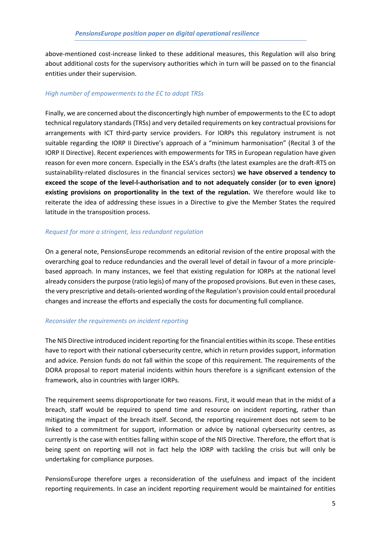above-mentioned cost-increase linked to these additional measures, this Regulation will also bring about additional costs for the supervisory authorities which in turn will be passed on to the financial entities under their supervision.

#### *High number of empowerments to the EC to adopt TRSs*

Finally, we are concerned about the disconcertingly high number of empowerments to the EC to adopt technical regulatory standards (TRSs) and very detailed requirements on key contractual provisions for arrangements with ICT third-party service providers. For IORPs this regulatory instrument is not suitable regarding the IORP II Directive's approach of a "minimum harmonisation" (Recital 3 of the IORP II Directive). Recent experiences with empowerments for TRS in European regulation have given reason for even more concern. Especially in the ESA's drafts (the latest examples are the draft-RTS on sustainability‐related disclosures in the financial services sectors) **we have observed a tendency to exceed the scope of the level-l-authorisation and to not adequately consider (or to even ignore) existing provisions on proportionality in the text of the regulation.** We therefore would like to reiterate the idea of addressing these issues in a Directive to give the Member States the required latitude in the transposition process.

#### *Request for more a stringent, less redundant regulation*

On a general note, PensionsEurope recommends an editorial revision of the entire proposal with the overarching goal to reduce redundancies and the overall level of detail in favour of a more principlebased approach. In many instances, we feel that existing regulation for IORPs at the national level already considers the purpose (ratio legis) of many of the proposed provisions. But even in these cases, the very prescriptive and details-oriented wording of the Regulation's provision could entail procedural changes and increase the efforts and especially the costs for documenting full compliance.

#### *Reconsider the requirements on incident reporting*

The NIS Directive introduced incident reporting for the financial entities within its scope. These entities have to report with their national cybersecurity centre, which in return provides support, information and advice. Pension funds do not fall within the scope of this requirement. The requirements of the DORA proposal to report material incidents within hours therefore is a significant extension of the framework, also in countries with larger IORPs.

The requirement seems disproportionate for two reasons. First, it would mean that in the midst of a breach, staff would be required to spend time and resource on incident reporting, rather than mitigating the impact of the breach itself. Second, the reporting requirement does not seem to be linked to a commitment for support, information or advice by national cybersecurity centres, as currently is the case with entities falling within scope of the NIS Directive. Therefore, the effort that is being spent on reporting will not in fact help the IORP with tackling the crisis but will only be undertaking for compliance purposes.

PensionsEurope therefore urges a reconsideration of the usefulness and impact of the incident reporting requirements. In case an incident reporting requirement would be maintained for entities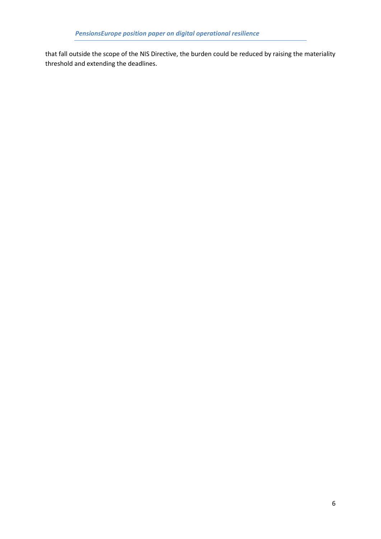that fall outside the scope of the NIS Directive, the burden could be reduced by raising the materiality threshold and extending the deadlines.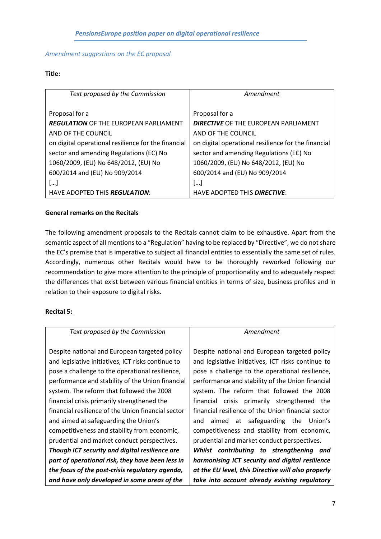#### *Amendment suggestions on the EC proposal*

#### **Title:**

| Text proposed by the Commission                     | Amendment                                           |
|-----------------------------------------------------|-----------------------------------------------------|
|                                                     |                                                     |
| Proposal for a                                      | Proposal for a                                      |
| <b>REGULATION</b> OF THE EUROPEAN PARLIAMENT        | <b>DIRECTIVE</b> OF THE EUROPEAN PARLIAMENT         |
| AND OF THE COUNCIL                                  | AND OF THE COUNCIL                                  |
| on digital operational resilience for the financial | on digital operational resilience for the financial |
| sector and amending Regulations (EC) No             | sector and amending Regulations (EC) No             |
| 1060/2009, (EU) No 648/2012, (EU) No                | 1060/2009, (EU) No 648/2012, (EU) No                |
| 600/2014 and (EU) No 909/2014                       | 600/2014 and (EU) No 909/2014                       |
| […]                                                 | []                                                  |
| HAVE ADOPTED THIS <b>REGULATION:</b>                | HAVE ADOPTED THIS <b>DIRECTIVE</b> :                |

### **General remarks on the Recitals**

The following amendment proposals to the Recitals cannot claim to be exhaustive. Apart from the semantic aspect of all mentions to a "Regulation" having to be replaced by "Directive", we do not share the EC's premise that is imperative to subject all financial entities to essentially the same set of rules. Accordingly, numerous other Recitals would have to be thoroughly reworked following our recommendation to give more attention to the principle of proportionality and to adequately respect the differences that exist between various financial entities in terms of size, business profiles and in relation to their exposure to digital risks.

#### **Recital 5:**

| Text proposed by the Commission                    | Amendment                                          |
|----------------------------------------------------|----------------------------------------------------|
|                                                    |                                                    |
| Despite national and European targeted policy      | Despite national and European targeted policy      |
| and legislative initiatives, ICT risks continue to | and legislative initiatives, ICT risks continue to |
| pose a challenge to the operational resilience,    | pose a challenge to the operational resilience,    |
| performance and stability of the Union financial   | performance and stability of the Union financial   |
| system. The reform that followed the 2008          | system. The reform that followed the 2008          |
| financial crisis primarily strengthened the        | financial crisis primarily strengthened the        |
| financial resilience of the Union financial sector | financial resilience of the Union financial sector |
| and aimed at safeguarding the Union's              | aimed at safeguarding the Union's<br>and           |
| competitiveness and stability from economic,       | competitiveness and stability from economic,       |
| prudential and market conduct perspectives.        | prudential and market conduct perspectives.        |
| Though ICT security and digital resilience are     | Whilst contributing to strengthening and           |
| part of operational risk, they have been less in   | harmonising ICT security and digital resilience    |
| the focus of the post-crisis regulatory agenda,    | at the EU level, this Directive will also properly |
| and have only developed in some areas of the       | take into account already existing regulatory      |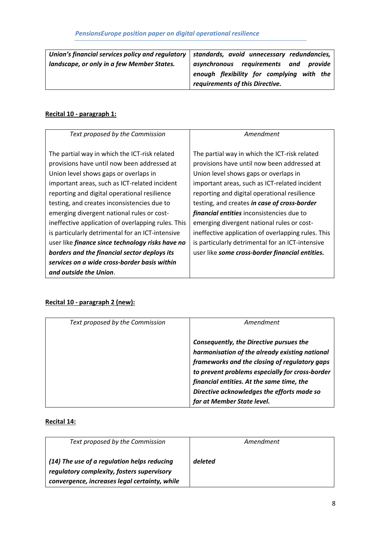| Union's financial services policy and regulatory $\vert$ standards, avoid unnecessary redundancies, |                                           |
|-----------------------------------------------------------------------------------------------------|-------------------------------------------|
| landscape, or only in a few Member States.                                                          | asynchronous requirements and provide     |
|                                                                                                     | enough flexibility for complying with the |
|                                                                                                     | requirements of this Directive.           |

# **Recital 10 - paragraph 1:**

| Text proposed by the Commission                         | Amendment                                          |
|---------------------------------------------------------|----------------------------------------------------|
|                                                         |                                                    |
| The partial way in which the ICT-risk related           | The partial way in which the ICT-risk related      |
| provisions have until now been addressed at             | provisions have until now been addressed at        |
| Union level shows gaps or overlaps in                   | Union level shows gaps or overlaps in              |
| important areas, such as ICT-related incident           | important areas, such as ICT-related incident      |
| reporting and digital operational resilience            | reporting and digital operational resilience       |
| testing, and creates inconsistencies due to             | testing, and creates in case of cross-border       |
| emerging divergent national rules or cost-              | financial entities inconsistencies due to          |
| ineffective application of overlapping rules. This      | emerging divergent national rules or cost-         |
| is particularly detrimental for an ICT-intensive        | ineffective application of overlapping rules. This |
| user like <i>finance since technology risks have no</i> | is particularly detrimental for an ICT-intensive   |
| borders and the financial sector deploys its            | user like some cross-border financial entities.    |
| services on a wide cross-border basis within            |                                                    |
| and outside the Union.                                  |                                                    |

# **Recital 10 - paragraph 2 (new):**

| Text proposed by the Commission | Amendment                                                                                                                                                                                                                                                                                                              |
|---------------------------------|------------------------------------------------------------------------------------------------------------------------------------------------------------------------------------------------------------------------------------------------------------------------------------------------------------------------|
|                                 | Consequently, the Directive pursues the<br>harmonisation of the already existing national<br>frameworks and the closing of regulatory gaps<br>to prevent problems especially for cross-border<br>financial entities. At the same time, the<br>Directive acknowledges the efforts made so<br>far at Member State level. |

## **Recital 14:**

| Text proposed by the Commission                                                                                                            | Amendment |
|--------------------------------------------------------------------------------------------------------------------------------------------|-----------|
| (14) The use of a regulation helps reducing<br>regulatory complexity, fosters supervisory<br>convergence, increases legal certainty, while | deleted   |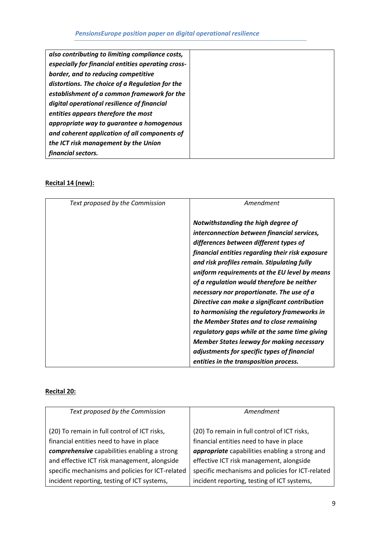| also contributing to limiting compliance costs,    |
|----------------------------------------------------|
| especially for financial entities operating cross- |
| border, and to reducing competitive                |
| distortions. The choice of a Regulation for the    |
| establishment of a common framework for the        |
| digital operational resilience of financial        |
| entities appears therefore the most                |
| appropriate way to guarantee a homogenous          |
| and coherent application of all components of      |
| the ICT risk management by the Union               |
| financial sectors.                                 |

# **Recital 14 (new):**

| Text proposed by the Commission | Amendment                                                                                                                                                                                                                                                                                                                                                                                                                                                                                                                                                                                                                                                                                                            |
|---------------------------------|----------------------------------------------------------------------------------------------------------------------------------------------------------------------------------------------------------------------------------------------------------------------------------------------------------------------------------------------------------------------------------------------------------------------------------------------------------------------------------------------------------------------------------------------------------------------------------------------------------------------------------------------------------------------------------------------------------------------|
|                                 | Notwithstanding the high degree of<br>interconnection between financial services,<br>differences between different types of<br>financial entities regarding their risk exposure<br>and risk profiles remain. Stipulating fully<br>uniform requirements at the EU level by means<br>of a regulation would therefore be neither<br>necessary nor proportionate. The use of a<br>Directive can make a significant contribution<br>to harmonising the regulatory frameworks in<br>the Member States and to close remaining<br>regulatory gaps while at the same time giving<br><b>Member States leeway for making necessary</b><br>adjustments for specific types of financial<br>entities in the transposition process. |

# **Recital 20:**

| Text proposed by the Commission                  | Amendment                                        |
|--------------------------------------------------|--------------------------------------------------|
| (20) To remain in full control of ICT risks,     | (20) To remain in full control of ICT risks,     |
| financial entities need to have in place         | financial entities need to have in place         |
| comprehensive capabilities enabling a strong     | appropriate capabilities enabling a strong and   |
| and effective ICT risk management, alongside     | effective ICT risk management, alongside         |
| specific mechanisms and policies for ICT-related | specific mechanisms and policies for ICT-related |
| incident reporting, testing of ICT systems,      | incident reporting, testing of ICT systems,      |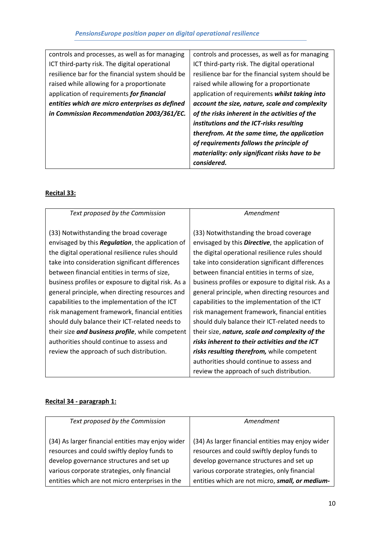| controls and processes, as well as for managing   | controls and processes, as well as for managing   |
|---------------------------------------------------|---------------------------------------------------|
| ICT third-party risk. The digital operational     | ICT third-party risk. The digital operational     |
| resilience bar for the financial system should be | resilience bar for the financial system should be |
| raised while allowing for a proportionate         | raised while allowing for a proportionate         |
| application of requirements for financial         | application of requirements whilst taking into    |
| entities which are micro enterprises as defined   | account the size, nature, scale and complexity    |
| in Commission Recommendation 2003/361/EC.         | of the risks inherent in the activities of the    |
|                                                   | institutions and the ICT-risks resulting          |
|                                                   | therefrom. At the same time, the application      |
|                                                   | of requirements follows the principle of          |
|                                                   | materiality: only significant risks have to be    |
|                                                   | considered.                                       |

### **Recital 33:**

| Text proposed by the Commission                          | Amendment                                               |
|----------------------------------------------------------|---------------------------------------------------------|
| (33) Notwithstanding the broad coverage                  | (33) Notwithstanding the broad coverage                 |
| envisaged by this <b>Regulation</b> , the application of | envisaged by this <b>Directive</b> , the application of |
| the digital operational resilience rules should          | the digital operational resilience rules should         |
| take into consideration significant differences          | take into consideration significant differences         |
| between financial entities in terms of size,             | between financial entities in terms of size,            |
| business profiles or exposure to digital risk. As a      | business profiles or exposure to digital risk. As a     |
| general principle, when directing resources and          | general principle, when directing resources and         |
| capabilities to the implementation of the ICT            | capabilities to the implementation of the ICT           |
| risk management framework, financial entities            | risk management framework, financial entities           |
| should duly balance their ICT-related needs to           | should duly balance their ICT-related needs to          |
| their size <i>and business profile</i> , while competent | their size, nature, scale and complexity of the         |
| authorities should continue to assess and                | risks inherent to their activities and the ICT          |
| review the approach of such distribution.                | risks resulting therefrom, while competent              |
|                                                          | authorities should continue to assess and               |
|                                                          | review the approach of such distribution.               |

### **Recital 34 - paragraph 1:**

| Text proposed by the Commission                                                                                                                                                              | Amendment                                                                                                                                                                                    |
|----------------------------------------------------------------------------------------------------------------------------------------------------------------------------------------------|----------------------------------------------------------------------------------------------------------------------------------------------------------------------------------------------|
| (34) As larger financial entities may enjoy wider<br>resources and could swiftly deploy funds to<br>develop governance structures and set up<br>various corporate strategies, only financial | (34) As larger financial entities may enjoy wider<br>resources and could swiftly deploy funds to<br>develop governance structures and set up<br>various corporate strategies, only financial |
| entities which are not micro enterprises in the                                                                                                                                              | entities which are not micro, small, or medium-                                                                                                                                              |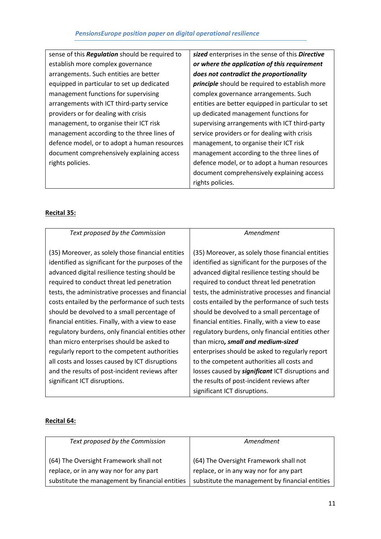| sense of this <b>Regulation</b> should be required to | sized enterp   |
|-------------------------------------------------------|----------------|
| establish more complex governance                     | or where the   |
| arrangements. Such entities are better                | does not cor   |
| equipped in particular to set up dedicated            | principle sho  |
| management functions for supervising                  | complex gov    |
| arrangements with ICT third-party service             | entities are l |
| providers or for dealing with crisis                  | up dedicated   |
| management, to organise their ICT risk                | supervising a  |
| management according to the three lines of            | service provi  |
| defence model, or to adopt a human resources          | managemen      |
| document comprehensively explaining access            | managemen      |
| rights policies.                                      | defence mor    |
|                                                       | document cr    |

*in the sense of this Directive or where the application of this requirement does not contradict the proportionality*  ould be required to establish more vernance arrangements. Such better equipped in particular to set d management functions for arrangements with ICT third-party iders or for dealing with crisis it, to organise their ICT risk it according to the three lines of del, or to adopt a human resources document comprehensively explaining access rights policies.

### **Recital 35:**

| Text proposed by the Commission                   | Amendment                                               |
|---------------------------------------------------|---------------------------------------------------------|
| (35) Moreover, as solely those financial entities | (35) Moreover, as solely those financial entities       |
| identified as significant for the purposes of the | identified as significant for the purposes of the       |
| advanced digital resilience testing should be     | advanced digital resilience testing should be           |
| required to conduct threat led penetration        | required to conduct threat led penetration              |
| tests, the administrative processes and financial | tests, the administrative processes and financial       |
| costs entailed by the performance of such tests   | costs entailed by the performance of such tests         |
| should be devolved to a small percentage of       | should be devolved to a small percentage of             |
| financial entities. Finally, with a view to ease  | financial entities. Finally, with a view to ease        |
| regulatory burdens, only financial entities other | regulatory burdens, only financial entities other       |
| than micro enterprises should be asked to         | than micro, small and medium-sized                      |
| regularly report to the competent authorities     | enterprises should be asked to regularly report         |
| all costs and losses caused by ICT disruptions    | to the competent authorities all costs and              |
| and the results of post-incident reviews after    | losses caused by <b>significant</b> ICT disruptions and |
| significant ICT disruptions.                      | the results of post-incident reviews after              |
|                                                   | significant ICT disruptions.                            |

#### **Recital 64:**

| Text proposed by the Commission                                                   | Amendment                                                                         |
|-----------------------------------------------------------------------------------|-----------------------------------------------------------------------------------|
| (64) The Oversight Framework shall not<br>replace, or in any way nor for any part | (64) The Oversight Framework shall not<br>replace, or in any way nor for any part |
| substitute the management by financial entities                                   | substitute the management by financial entities                                   |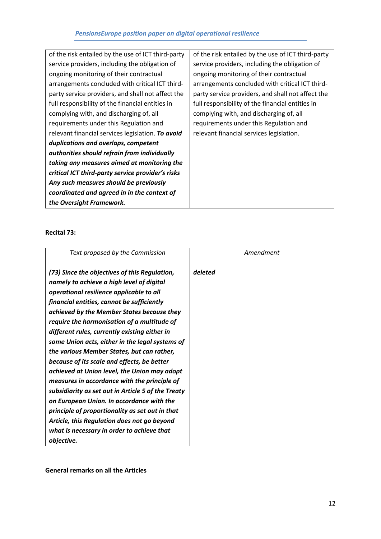| of the risk entailed by the use of ICT third-party | of the risk entailed by the use of ICT third-party |
|----------------------------------------------------|----------------------------------------------------|
| service providers, including the obligation of     | service providers, including the obligation of     |
| ongoing monitoring of their contractual            | ongoing monitoring of their contractual            |
| arrangements concluded with critical ICT third-    | arrangements concluded with critical ICT third-    |
| party service providers, and shall not affect the  | party service providers, and shall not affect the  |
| full responsibility of the financial entities in   | full responsibility of the financial entities in   |
| complying with, and discharging of, all            | complying with, and discharging of, all            |
| requirements under this Regulation and             | requirements under this Regulation and             |
| relevant financial services legislation. To avoid  | relevant financial services legislation.           |
| duplications and overlaps, competent               |                                                    |
| authorities should refrain from individually       |                                                    |
| taking any measures aimed at monitoring the        |                                                    |
| critical ICT third-party service provider's risks  |                                                    |
| Any such measures should be previously             |                                                    |
| coordinated and agreed in in the context of        |                                                    |
| the Oversight Framework.                           |                                                    |

### **Recital 73:**

| Text proposed by the Commission                                                                                                                                                                                                                                                                                                                                                                                                                                                                                                                                                                                                                                                                                                                                                                                                       | Amendment |
|---------------------------------------------------------------------------------------------------------------------------------------------------------------------------------------------------------------------------------------------------------------------------------------------------------------------------------------------------------------------------------------------------------------------------------------------------------------------------------------------------------------------------------------------------------------------------------------------------------------------------------------------------------------------------------------------------------------------------------------------------------------------------------------------------------------------------------------|-----------|
| (73) Since the objectives of this Regulation,<br>namely to achieve a high level of digital<br>operational resilience applicable to all<br>financial entities, cannot be sufficiently<br>achieved by the Member States because they<br>require the harmonisation of a multitude of<br>different rules, currently existing either in<br>some Union acts, either in the legal systems of<br>the various Member States, but can rather,<br>because of its scale and effects, be better<br>achieved at Union level, the Union may adopt<br>measures in accordance with the principle of<br>subsidiarity as set out in Article 5 of the Treaty<br>on European Union. In accordance with the<br>principle of proportionality as set out in that<br>Article, this Regulation does not go beyond<br>what is necessary in order to achieve that | deleted   |
| objective.                                                                                                                                                                                                                                                                                                                                                                                                                                                                                                                                                                                                                                                                                                                                                                                                                            |           |

**General remarks on all the Articles**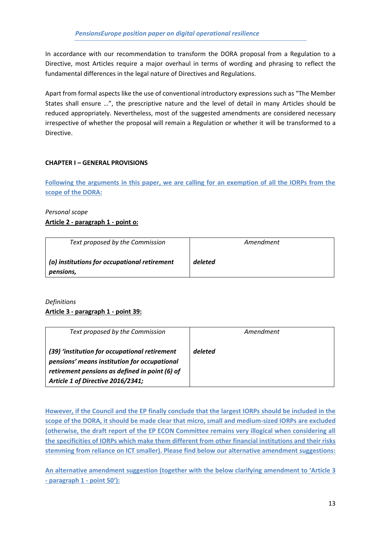In accordance with our recommendation to transform the DORA proposal from a Regulation to a Directive, most Articles require a major overhaul in terms of wording and phrasing to reflect the fundamental differences in the legal nature of Directives and Regulations.

Apart from formal aspects like the use of conventional introductory expressions such as "The Member States shall ensure …", the prescriptive nature and the level of detail in many Articles should be reduced appropriately. Nevertheless, most of the suggested amendments are considered necessary irrespective of whether the proposal will remain a Regulation or whether it will be transformed to a Directive.

#### **CHAPTER I – GENERAL PROVISIONS**

**Following the arguments in this paper, we are calling for an exemption of all the IORPs from the scope of the DORA:**

### *Personal scope* **Article 2 - paragraph 1 - point o:**

| Text proposed by the Commission                           | Amendment |
|-----------------------------------------------------------|-----------|
| (o) institutions for occupational retirement<br>pensions, | deleted   |

#### *Definitions*

#### **Article 3 - paragraph 1 - point 39:**

| Text proposed by the Commission                                                                                                                                                      | Amendment |
|--------------------------------------------------------------------------------------------------------------------------------------------------------------------------------------|-----------|
| (39) 'institution for occupational retirement<br>pensions' means institution for occupational<br>retirement pensions as defined in point (6) of<br>Article 1 of Directive 2016/2341; | deleted   |

**However, if the Council and the EP finally conclude that the largest IORPs should be included in the scope of the DORA, it should be made clear that micro, small and medium-sized IORPs are excluded (otherwise, the draft report of the EP ECON Committee remains very illogical when considering all the specificities of IORPs which make them different from other financial institutions and their risks stemming from reliance on ICT smaller). Please find below our alternative amendment suggestions:**

**An alternative amendment suggestion (together with the below clarifying amendment to 'Article 3 - paragraph 1 - point 50'):**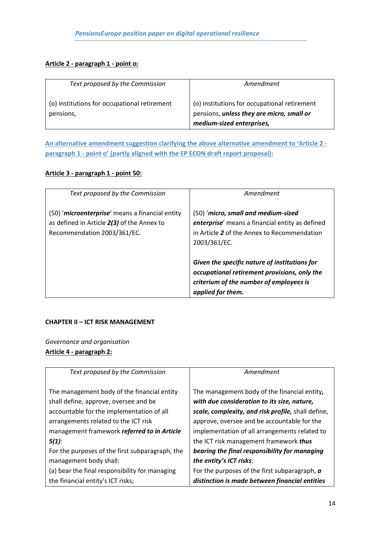#### **Article 2 - paragraph 1 - point o:**

| Text proposed by the Commission              | Amendment                                                              |
|----------------------------------------------|------------------------------------------------------------------------|
| (o) institutions for occupational retirement | (o) institutions for occupational retirement                           |
| pensions,                                    | pensions, unless they are micro, small or<br>medium-sized enterprises, |

**An alternative amendment suggestion clarifying the above alternative amendment to 'Article 2 paragraph 1 - point o' (partly aligned with the EP ECON draft report proposal):**

#### **Article 3 - paragraph 1 - point 50:**

| Text proposed by the Commission                                                                                              | Amendment                                                                                                                                                     |
|------------------------------------------------------------------------------------------------------------------------------|---------------------------------------------------------------------------------------------------------------------------------------------------------------|
| (50) 'microenterprise' means a financial entity<br>as defined in Article 2(3) of the Annex to<br>Recommendation 2003/361/EC. | (50) 'micro, small and medium-sized<br>enterprise' means a financial entity as defined<br>in Article 2 of the Annex to Recommendation<br>2003/361/EC.         |
|                                                                                                                              | Given the specific nature of institutions for<br>occupational retirement provisions, only the<br>criterium of the number of employees is<br>applied for them. |

#### **CHAPTER II – ICT RISK MANAGEMENT**

*Governance and organisation* **Article 4 - paragraph 2:**

| Text proposed by the Commission                 | Amendment                                            |
|-------------------------------------------------|------------------------------------------------------|
| The management body of the financial entity     | The management body of the financial entity,         |
| shall define, approve, oversee and be           | with due consideration to its size, nature,          |
| accountable for the implementation of all       | scale, complexity, and risk profile, shall define,   |
| arrangements related to the ICT risk            | approve, oversee and be accountable for the          |
| management framework referred to in Article     | implementation of all arrangements related to        |
| $5(1)$ :                                        | the ICT risk management framework thus               |
| For the purposes of the first subparagraph, the | bearing the final responsibility for managing        |
| management body shall:                          | the entity's ICT risks:                              |
| (a) bear the final responsibility for managing  | For the purposes of the first subparagraph, $\alpha$ |
| the financial entity's ICT risks;               | distinction is made between financial entities       |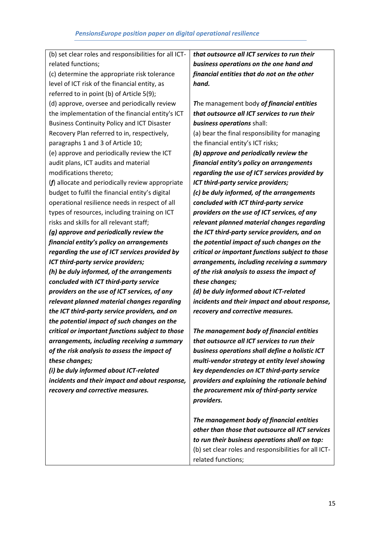| (b) set clear roles and responsibilities for all ICT- | that outsource all ICT services to run their          |
|-------------------------------------------------------|-------------------------------------------------------|
| related functions;                                    | business operations on the one hand and               |
| (c) determine the appropriate risk tolerance          | financial entities that do not on the other           |
| level of ICT risk of the financial entity, as         | hand.                                                 |
| referred to in point (b) of Article 5(9);             |                                                       |
| (d) approve, oversee and periodically review          | The management body of financial entities             |
| the implementation of the financial entity's ICT      | that outsource all ICT services to run their          |
| <b>Business Continuity Policy and ICT Disaster</b>    | business operations shall:                            |
| Recovery Plan referred to in, respectively,           | (a) bear the final responsibility for managing        |
| paragraphs 1 and 3 of Article 10;                     | the financial entity's ICT risks;                     |
| (e) approve and periodically review the ICT           | (b) approve and periodically review the               |
| audit plans, ICT audits and material                  | financial entity's policy on arrangements             |
| modifications thereto;                                | regarding the use of ICT services provided by         |
| $(f)$ allocate and periodically review appropriate    | ICT third-party service providers;                    |
| budget to fulfil the financial entity's digital       | (c) be duly informed, of the arrangements             |
| operational resilience needs in respect of all        | concluded with ICT third-party service                |
| types of resources, including training on ICT         | providers on the use of ICT services, of any          |
| risks and skills for all relevant staff;              | relevant planned material changes regarding           |
| (g) approve and periodically review the               | the ICT third-party service providers, and on         |
| financial entity's policy on arrangements             | the potential impact of such changes on the           |
| regarding the use of ICT services provided by         | critical or important functions subject to those      |
| ICT third-party service providers;                    | arrangements, including receiving a summary           |
| (h) be duly informed, of the arrangements             | of the risk analysis to assess the impact of          |
| concluded with ICT third-party service                | these changes;                                        |
| providers on the use of ICT services, of any          | (d) be duly informed about ICT-related                |
| relevant planned material changes regarding           | incidents and their impact and about response,        |
| the ICT third-party service providers, and on         | recovery and corrective measures.                     |
| the potential impact of such changes on the           |                                                       |
| critical or important functions subject to those      | The management body of financial entities             |
| arrangements, including receiving a summary           | that outsource all ICT services to run their          |
| of the risk analysis to assess the impact of          | business operations shall define a holistic ICT       |
| these changes;                                        | multi-vendor strategy at entity level showing         |
| (i) be duly informed about ICT-related                | key dependencies on ICT third-party service           |
| incidents and their impact and about response,        | providers and explaining the rationale behind         |
| recovery and corrective measures.                     | the procurement mix of third-party service            |
|                                                       | providers.                                            |
|                                                       |                                                       |
|                                                       | The management body of financial entities             |
|                                                       | other than those that outsource all ICT services      |
|                                                       | to run their business operations shall on top:        |
|                                                       | (b) set clear roles and responsibilities for all ICT- |

related functions;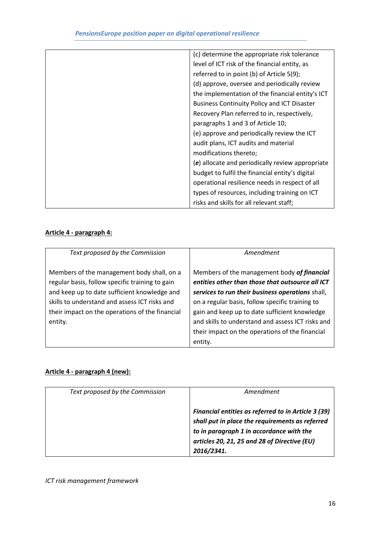| (c) determine the appropriate risk tolerance       |
|----------------------------------------------------|
| level of ICT risk of the financial entity, as      |
| referred to in point (b) of Article 5(9);          |
| (d) approve, oversee and periodically review       |
| the implementation of the financial entity's ICT   |
| <b>Business Continuity Policy and ICT Disaster</b> |
| Recovery Plan referred to in, respectively,        |
| paragraphs 1 and 3 of Article 10;                  |
| (e) approve and periodically review the ICT        |
| audit plans, ICT audits and material               |
| modifications thereto;                             |
| $(e)$ allocate and periodically review appropriate |
| budget to fulfil the financial entity's digital    |
| operational resilience needs in respect of all     |
| types of resources, including training on ICT      |
| risks and skills for all relevant staff;           |
|                                                    |

# **Article 4 - paragraph 4:**

| Text proposed by the Commission                                                                                                                                                                                                                              | Amendment                                                                                                                                                                                                                                                                                                                                                                  |
|--------------------------------------------------------------------------------------------------------------------------------------------------------------------------------------------------------------------------------------------------------------|----------------------------------------------------------------------------------------------------------------------------------------------------------------------------------------------------------------------------------------------------------------------------------------------------------------------------------------------------------------------------|
| Members of the management body shall, on a<br>regular basis, follow specific training to gain<br>and keep up to date sufficient knowledge and<br>skills to understand and assess ICT risks and<br>their impact on the operations of the financial<br>entity. | Members of the management body of financial<br>entities other than those that outsource all ICT<br>services to run their business operations shall,<br>on a regular basis, follow specific training to<br>gain and keep up to date sufficient knowledge<br>and skills to understand and assess ICT risks and<br>their impact on the operations of the financial<br>entity. |

# **Article 4 - paragraph 4 (new):**

| Text proposed by the Commission | Amendment                                                                                                                                                                                                               |
|---------------------------------|-------------------------------------------------------------------------------------------------------------------------------------------------------------------------------------------------------------------------|
|                                 | <b>Financial entities as referred to in Article 3 (39)</b><br>shall put in place the requirements as referred<br>to in paragraph 1 in accordance with the<br>articles 20, 21, 25 and 28 of Directive (EU)<br>2016/2341. |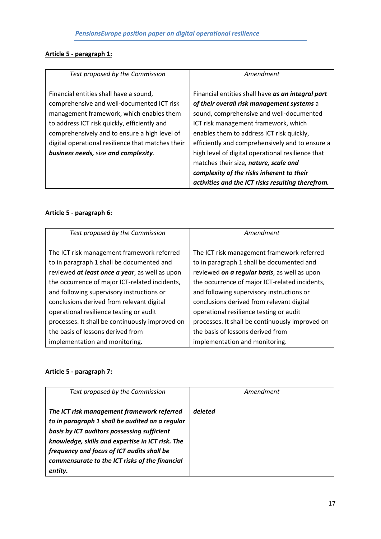# **Article 5 - paragraph 1:**

| Text proposed by the Commission                   | Amendment                                         |
|---------------------------------------------------|---------------------------------------------------|
| Financial entities shall have a sound,            | Financial entities shall have as an integral part |
| comprehensive and well-documented ICT risk        | of their overall risk management systems a        |
| management framework, which enables them          | sound, comprehensive and well-documented          |
| to address ICT risk quickly, efficiently and      | ICT risk management framework, which              |
| comprehensively and to ensure a high level of     | enables them to address ICT risk quickly,         |
| digital operational resilience that matches their | efficiently and comprehensively and to ensure a   |
| <b>business needs, size and complexity.</b>       | high level of digital operational resilience that |
|                                                   | matches their size, nature, scale and             |
|                                                   | complexity of the risks inherent to their         |
|                                                   | activities and the ICT risks resulting therefrom. |

### **Article 5 - paragraph 6:**

| Text proposed by the Commission                 | Amendment                                       |
|-------------------------------------------------|-------------------------------------------------|
|                                                 |                                                 |
|                                                 |                                                 |
| The ICT risk management framework referred      | The ICT risk management framework referred      |
|                                                 |                                                 |
| to in paragraph 1 shall be documented and       | to in paragraph 1 shall be documented and       |
| reviewed at least once a year, as well as upon  | reviewed on a regular basis, as well as upon    |
| the occurrence of major ICT-related incidents,  | the occurrence of major ICT-related incidents,  |
| and following supervisory instructions or       | and following supervisory instructions or       |
| conclusions derived from relevant digital       | conclusions derived from relevant digital       |
| operational resilience testing or audit         | operational resilience testing or audit         |
| processes. It shall be continuously improved on | processes. It shall be continuously improved on |
| the basis of lessons derived from               | the basis of lessons derived from               |
| implementation and monitoring.                  | implementation and monitoring.                  |

# **Article 5 - paragraph 7:**

| Text proposed by the Commission                                                                                                                                                                                                                                                                             | Amendment |
|-------------------------------------------------------------------------------------------------------------------------------------------------------------------------------------------------------------------------------------------------------------------------------------------------------------|-----------|
| The ICT risk management framework referred<br>to in paragraph 1 shall be audited on a regular<br>basis by ICT auditors possessing sufficient<br>knowledge, skills and expertise in ICT risk. The<br>frequency and focus of ICT audits shall be<br>commensurate to the ICT risks of the financial<br>entity. | deleted   |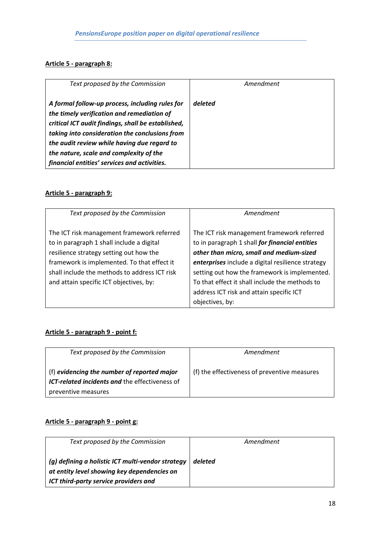### **Article 5 - paragraph 8:**

| Text proposed by the Commission                                                                                                                                                                                                                                                                                                                 | Amendment |
|-------------------------------------------------------------------------------------------------------------------------------------------------------------------------------------------------------------------------------------------------------------------------------------------------------------------------------------------------|-----------|
| A formal follow-up process, including rules for<br>the timely verification and remediation of<br>critical ICT audit findings, shall be established,<br>taking into consideration the conclusions from<br>the audit review while having due regard to<br>the nature, scale and complexity of the<br>financial entities' services and activities. | deleted   |

# **Article 5 - paragraph 9:**

| Text proposed by the Commission                                                                                                                                                                                                                                               | Amendment                                                                                                                                                                                                                                                                                                                                                       |
|-------------------------------------------------------------------------------------------------------------------------------------------------------------------------------------------------------------------------------------------------------------------------------|-----------------------------------------------------------------------------------------------------------------------------------------------------------------------------------------------------------------------------------------------------------------------------------------------------------------------------------------------------------------|
| The ICT risk management framework referred<br>to in paragraph 1 shall include a digital<br>resilience strategy setting out how the<br>framework is implemented. To that effect it<br>shall include the methods to address ICT risk<br>and attain specific ICT objectives, by: | The ICT risk management framework referred<br>to in paragraph 1 shall for financial entities<br>other than micro, small and medium-sized<br>enterprises include a digital resilience strategy<br>setting out how the framework is implemented.<br>To that effect it shall include the methods to<br>address ICT risk and attain specific ICT<br>objectives, by: |

# **Article 5 - paragraph 9 - point f:**

| Text proposed by the Commission                                                               | Amendment                                    |
|-----------------------------------------------------------------------------------------------|----------------------------------------------|
| (f) evidencing the number of reported major<br>ICT-related incidents and the effectiveness of | (f) the effectiveness of preventive measures |
| preventive measures                                                                           |                                              |

### **Article 5 - paragraph 9 - point g:**

| Text proposed by the Commission                                                                                                           | Amendment |
|-------------------------------------------------------------------------------------------------------------------------------------------|-----------|
| (g) defining a holistic ICT multi-vendor strategy<br>at entity level showing key dependencies on<br>ICT third-party service providers and | deleted   |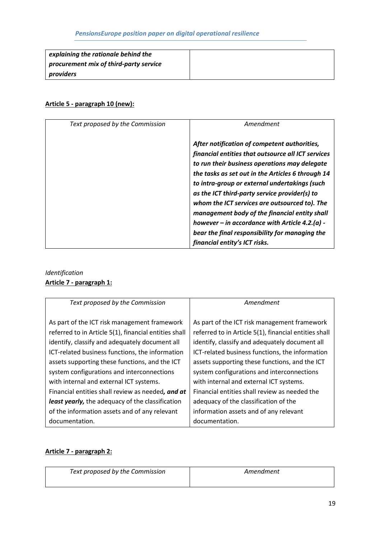| explaining the rationale behind the    |  |
|----------------------------------------|--|
| procurement mix of third-party service |  |
| providers                              |  |

### **Article 5 - paragraph 10 (new):**

| Text proposed by the Commission | Amendment                                                                                                                                                                                                                                                                                                                                                                                                                                                                                                                                         |
|---------------------------------|---------------------------------------------------------------------------------------------------------------------------------------------------------------------------------------------------------------------------------------------------------------------------------------------------------------------------------------------------------------------------------------------------------------------------------------------------------------------------------------------------------------------------------------------------|
|                                 | After notification of competent authorities,<br>financial entities that outsource all ICT services<br>to run their business operations may delegate<br>the tasks as set out in the Articles 6 through 14<br>to intra-group or external undertakings (such<br>as the ICT third-party service provider(s) to<br>whom the ICT services are outsourced to). The<br>management body of the financial entity shall<br>however – in accordance with Article 4.2.(a) -<br>bear the final responsibility for managing the<br>financial entity's ICT risks. |

# *Identification* **Article 7 - paragraph 1:**

| Text proposed by the Commission                         | Amendment                                             |
|---------------------------------------------------------|-------------------------------------------------------|
|                                                         |                                                       |
| As part of the ICT risk management framework            | As part of the ICT risk management framework          |
| referred to in Article 5(1), financial entities shall   | referred to in Article 5(1), financial entities shall |
| identify, classify and adequately document all          | identify, classify and adequately document all        |
| ICT-related business functions, the information         | ICT-related business functions, the information       |
| assets supporting these functions, and the ICT          | assets supporting these functions, and the ICT        |
| system configurations and interconnections              | system configurations and interconnections            |
| with internal and external ICT systems.                 | with internal and external ICT systems.               |
| Financial entities shall review as needed, and at       | Financial entities shall review as needed the         |
| <b>least yearly,</b> the adequacy of the classification | adequacy of the classification of the                 |
| of the information assets and of any relevant           | information assets and of any relevant                |
| documentation.                                          | documentation.                                        |

### **Article 7 - paragraph 2:**

| Text proposed by the Commission | Amendment |
|---------------------------------|-----------|
|                                 |           |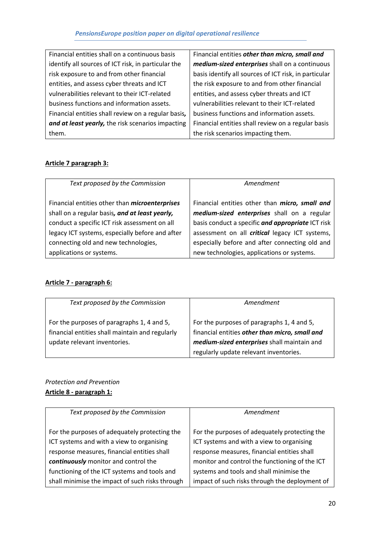| Financial entities shall on a continuous basis      | Financial entities other than micro, small and        |
|-----------------------------------------------------|-------------------------------------------------------|
| identify all sources of ICT risk, in particular the | medium-sized enterprises shall on a continuous        |
| risk exposure to and from other financial           | basis identify all sources of ICT risk, in particular |
| entities, and assess cyber threats and ICT          | the risk exposure to and from other financial         |
| vulnerabilities relevant to their ICT-related       | entities, and assess cyber threats and ICT            |
| business functions and information assets.          | vulnerabilities relevant to their ICT-related         |
| Financial entities shall review on a regular basis, | business functions and information assets.            |
| and at least yearly, the risk scenarios impacting   | Financial entities shall review on a regular basis    |
| them.                                               | the risk scenarios impacting them.                    |

# **Article 7 paragraph 3:**

| Text proposed by the Commission                       | Amendment                                             |
|-------------------------------------------------------|-------------------------------------------------------|
| Financial entities other than <i>microenterprises</i> | Financial entities other than micro, small and        |
| shall on a regular basis, and at least yearly,        | medium-sized enterprises shall on a regular           |
| conduct a specific ICT risk assessment on all         | basis conduct a specific and appropriate ICT risk     |
| legacy ICT systems, especially before and after       | assessment on all <i>critical</i> legacy ICT systems, |
| connecting old and new technologies,                  | especially before and after connecting old and        |
| applications or systems.                              | new technologies, applications or systems.            |

## **Article 7 - paragraph 6:**

| Text proposed by the Commission                                                                                               | Amendment                                                                                                                                                                             |
|-------------------------------------------------------------------------------------------------------------------------------|---------------------------------------------------------------------------------------------------------------------------------------------------------------------------------------|
| For the purposes of paragraphs 1, 4 and 5,<br>financial entities shall maintain and regularly<br>update relevant inventories. | For the purposes of paragraphs 1, 4 and 5,<br>financial entities other than micro, small and<br>medium-sized enterprises shall maintain and<br>regularly update relevant inventories. |

# *Protection and Prevention* **Article 8 - paragraph 1:**

| Text proposed by the Commission                 | Amendment                                      |
|-------------------------------------------------|------------------------------------------------|
| For the purposes of adequately protecting the   | For the purposes of adequately protecting the  |
| ICT systems and with a view to organising       | ICT systems and with a view to organising      |
| response measures, financial entities shall     | response measures, financial entities shall    |
| continuously monitor and control the            | monitor and control the functioning of the ICT |
| functioning of the ICT systems and tools and    | systems and tools and shall minimise the       |
| shall minimise the impact of such risks through | impact of such risks through the deployment of |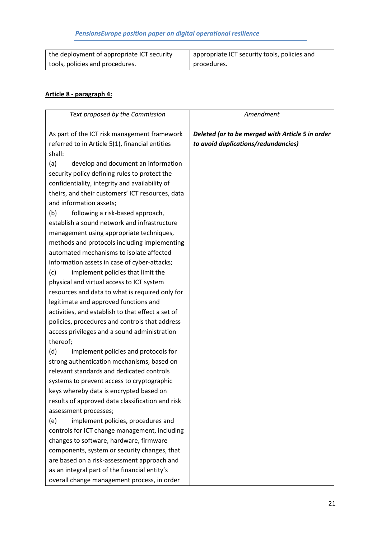| the deployment of appropriate ICT security | appropriate ICT security tools, policies and |
|--------------------------------------------|----------------------------------------------|
| tools, policies and procedures.            | procedures.                                  |

### **Article 8 - paragraph 4:**

| Text proposed by the Commission                   | Amendment                                        |
|---------------------------------------------------|--------------------------------------------------|
| As part of the ICT risk management framework      | Deleted (or to be merged with Article 5 in order |
| referred to in Article 5(1), financial entities   | to avoid duplications/redundancies)              |
| shall:                                            |                                                  |
| (a)<br>develop and document an information        |                                                  |
| security policy defining rules to protect the     |                                                  |
| confidentiality, integrity and availability of    |                                                  |
| theirs, and their customers' ICT resources, data  |                                                  |
| and information assets;                           |                                                  |
| following a risk-based approach,<br>(b)           |                                                  |
| establish a sound network and infrastructure      |                                                  |
| management using appropriate techniques,          |                                                  |
| methods and protocols including implementing      |                                                  |
| automated mechanisms to isolate affected          |                                                  |
| information assets in case of cyber-attacks;      |                                                  |
| implement policies that limit the<br>(c)          |                                                  |
| physical and virtual access to ICT system         |                                                  |
| resources and data to what is required only for   |                                                  |
| legitimate and approved functions and             |                                                  |
| activities, and establish to that effect a set of |                                                  |
| policies, procedures and controls that address    |                                                  |
| access privileges and a sound administration      |                                                  |
| thereof;                                          |                                                  |
| (d)<br>implement policies and protocols for       |                                                  |
| strong authentication mechanisms, based on        |                                                  |
| relevant standards and dedicated controls         |                                                  |
| systems to prevent access to cryptographic        |                                                  |
| keys whereby data is encrypted based on           |                                                  |
| results of approved data classification and risk  |                                                  |
| assessment processes;                             |                                                  |
| implement policies, procedures and<br>(e)         |                                                  |
| controls for ICT change management, including     |                                                  |
| changes to software, hardware, firmware           |                                                  |
| components, system or security changes, that      |                                                  |
| are based on a risk-assessment approach and       |                                                  |
| as an integral part of the financial entity's     |                                                  |
| overall change management process, in order       |                                                  |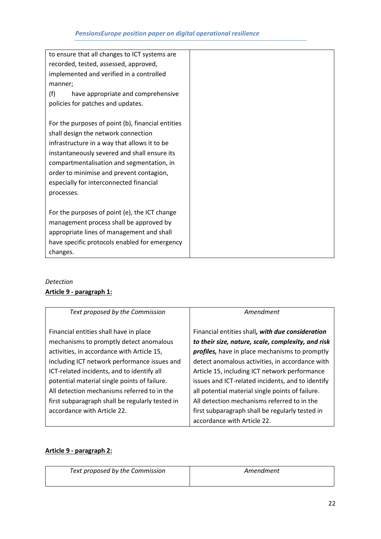| to ensure that all changes to ICT systems are     |  |
|---------------------------------------------------|--|
| recorded, tested, assessed, approved,             |  |
| implemented and verified in a controlled          |  |
| manner;                                           |  |
| (f)<br>have appropriate and comprehensive         |  |
| policies for patches and updates.                 |  |
|                                                   |  |
| For the purposes of point (b), financial entities |  |
| shall design the network connection               |  |
| infrastructure in a way that allows it to be      |  |
| instantaneously severed and shall ensure its      |  |
| compartmentalisation and segmentation, in         |  |
| order to minimise and prevent contagion,          |  |
| especially for interconnected financial           |  |
| processes.                                        |  |
|                                                   |  |
| For the purposes of point (e), the ICT change     |  |
| management process shall be approved by           |  |
| appropriate lines of management and shall         |  |
| have specific protocols enabled for emergency     |  |
| changes.                                          |  |

# *Detection* **Article 9 - paragraph 1:**

| Text proposed by the Commission                 | Amendment                                          |
|-------------------------------------------------|----------------------------------------------------|
|                                                 |                                                    |
| Financial entities shall have in place          | Financial entities shall, with due consideration   |
| mechanisms to promptly detect anomalous         | to their size, nature, scale, complexity, and risk |
| activities, in accordance with Article 15,      | profiles, have in place mechanisms to promptly     |
| including ICT network performance issues and    | detect anomalous activities, in accordance with    |
| ICT-related incidents, and to identify all      | Article 15, including ICT network performance      |
| potential material single points of failure.    | issues and ICT-related incidents, and to identify  |
| All detection mechanisms referred to in the     | all potential material single points of failure.   |
| first subparagraph shall be regularly tested in | All detection mechanisms referred to in the        |
| accordance with Article 22.                     | first subparagraph shall be regularly tested in    |
|                                                 | accordance with Article 22.                        |

# **Article 9 - paragraph 2:**

| Text proposed by the Commission | Amendment |
|---------------------------------|-----------|
|                                 |           |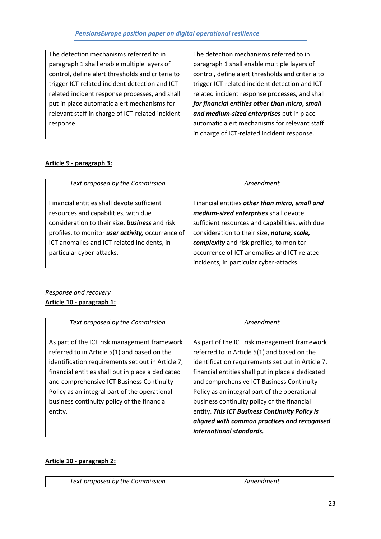| The detection mechanisms referred to in          |
|--------------------------------------------------|
| paragraph 1 shall enable multiple layers of      |
| control, define alert thresholds and criteria to |
| trigger ICT-related incident detection and ICT-  |
| related incident response processes, and shall   |
| put in place automatic alert mechanisms for      |
| relevant staff in charge of ICT-related incident |
| response.                                        |

The detection mechanisms referred to in paragraph 1 shall enable multiple layers of control, define alert thresholds and criteria to trigger ICT-related incident detection and ICTrelated incident response processes, and shall *for financial entities other than micro, small and medium-sized enterprises* put in place automatic alert mechanisms for relevant staff in charge of ICT-related incident response.

### **Article 9 - paragraph 3:**

| Text proposed by the Commission                   | Amendment                                       |
|---------------------------------------------------|-------------------------------------------------|
| Financial entities shall devote sufficient        | Financial entities other than micro, small and  |
| resources and capabilities, with due              | medium-sized enterprises shall devote           |
| consideration to their size, business and risk    | sufficient resources and capabilities, with due |
| profiles, to monitor user activity, occurrence of | consideration to their size, nature, scale,     |
| ICT anomalies and ICT-related incidents, in       | complexity and risk profiles, to monitor        |
| particular cyber-attacks.                         | occurrence of ICT anomalies and ICT-related     |
|                                                   | incidents, in particular cyber-attacks.         |

## *Response and recovery* **Article 10 - paragraph 1:**

| Text proposed by the Commission                                                                | Amendment                                                                                      |
|------------------------------------------------------------------------------------------------|------------------------------------------------------------------------------------------------|
| As part of the ICT risk management framework<br>referred to in Article 5(1) and based on the   | As part of the ICT risk management framework<br>referred to in Article 5(1) and based on the   |
| identification requirements set out in Article 7,                                              | identification requirements set out in Article 7,                                              |
| financial entities shall put in place a dedicated<br>and comprehensive ICT Business Continuity | financial entities shall put in place a dedicated<br>and comprehensive ICT Business Continuity |
| Policy as an integral part of the operational                                                  | Policy as an integral part of the operational                                                  |
| business continuity policy of the financial                                                    | business continuity policy of the financial                                                    |
| entity.                                                                                        | entity. This ICT Business Continuity Policy is                                                 |
|                                                                                                | aligned with common practices and recognised<br>international standards.                       |

### **Article 10 - paragraph 2:**

| Text proposed by the Commission | Amendment |
|---------------------------------|-----------|
|---------------------------------|-----------|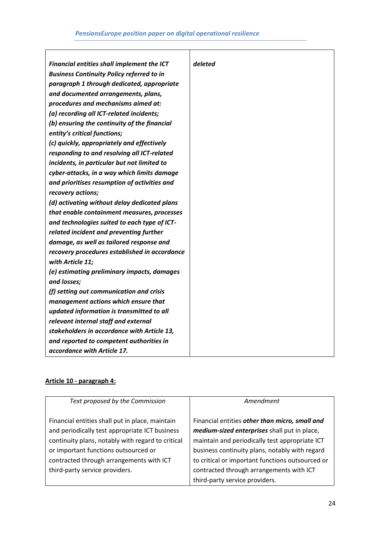T

| Financial entities shall implement the ICT       | deleted |
|--------------------------------------------------|---------|
| <b>Business Continuity Policy referred to in</b> |         |
| paragraph 1 through dedicated, appropriate       |         |
| and documented arrangements, plans,              |         |
| procedures and mechanisms aimed at:              |         |
| (a) recording all ICT-related incidents;         |         |
| (b) ensuring the continuity of the financial     |         |
| entity's critical functions;                     |         |
| (c) quickly, appropriately and effectively       |         |
| responding to and resolving all ICT-related      |         |
| incidents, in particular but not limited to      |         |
| cyber-attacks, in a way which limits damage      |         |
| and prioritises resumption of activities and     |         |
| recovery actions;                                |         |
| (d) activating without delay dedicated plans     |         |
| that enable containment measures, processes      |         |
| and technologies suited to each type of ICT-     |         |
| related incident and preventing further          |         |
| damage, as well as tailored response and         |         |
| recovery procedures established in accordance    |         |
| with Article 11;                                 |         |
| (e) estimating preliminary impacts, damages      |         |
| and losses;                                      |         |
| (f) setting out communication and crisis         |         |
| management actions which ensure that             |         |
| updated information is transmitted to all        |         |
| relevant internal staff and external             |         |
| stakeholders in accordance with Article 13,      |         |
| and reported to competent authorities in         |         |
| accordance with Article 17.                      |         |

# **Article 10 - paragraph 4:**

 $\mathsf{r}$ 

| Text proposed by the Commission                   | Amendment                                        |
|---------------------------------------------------|--------------------------------------------------|
| Financial entities shall put in place, maintain   | Financial entities other than micro, small and   |
| and periodically test appropriate ICT business    | medium-sized enterprises shall put in place,     |
| continuity plans, notably with regard to critical | maintain and periodically test appropriate ICT   |
| or important functions outsourced or              | business continuity plans, notably with regard   |
| contracted through arrangements with ICT          | to critical or important functions outsourced or |
| third-party service providers.                    | contracted through arrangements with ICT         |
|                                                   | third-party service providers.                   |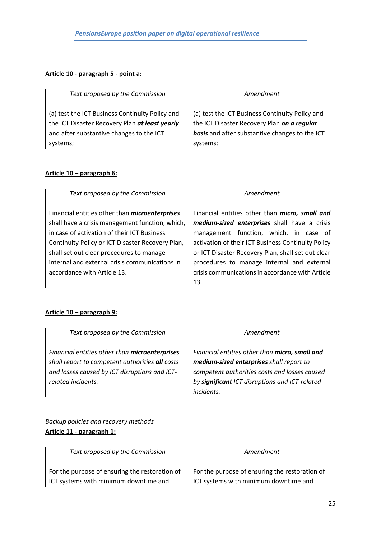# **Article 10 - paragraph 5 - point a:**

| Text proposed by the Commission                 | Amendment                                       |
|-------------------------------------------------|-------------------------------------------------|
| (a) test the ICT Business Continuity Policy and | (a) test the ICT Business Continuity Policy and |
| the ICT Disaster Recovery Plan at least yearly  | the ICT Disaster Recovery Plan on a regular     |
| and after substantive changes to the ICT        | basis and after substantive changes to the ICT  |
| systems;                                        | systems;                                        |

#### **Article 10 – paragraph 6:**

| Text proposed by the Commission                                                                | Amendment                                                                              |
|------------------------------------------------------------------------------------------------|----------------------------------------------------------------------------------------|
| Financial entities other than <i>microenterprises</i>                                          | Financial entities other than micro, small and                                         |
| shall have a crisis management function, which,<br>in case of activation of their ICT Business | medium-sized enterprises shall have a crisis<br>management function, which, in case of |
| Continuity Policy or ICT Disaster Recovery Plan,                                               | activation of their ICT Business Continuity Policy                                     |
| shall set out clear procedures to manage                                                       | or ICT Disaster Recovery Plan, shall set out clear                                     |
| internal and external crisis communications in                                                 | procedures to manage internal and external                                             |
| accordance with Article 13.                                                                    | crisis communications in accordance with Article                                       |
|                                                                                                | 13.                                                                                    |

### **Article 10 – paragraph 9:**

| Text proposed by the Commission                                                                                                                                          | Amendment                                                                                                                                                                                                   |
|--------------------------------------------------------------------------------------------------------------------------------------------------------------------------|-------------------------------------------------------------------------------------------------------------------------------------------------------------------------------------------------------------|
| Financial entities other than microenterprises<br>shall report to competent authorities all costs<br>and losses caused by ICT disruptions and ICT-<br>related incidents. | Financial entities other than micro, small and<br>medium-sized enterprises shall report to<br>competent authorities costs and losses caused<br>by significant ICT disruptions and ICT-related<br>incidents. |

# *Backup policies and recovery methods* **Article 11 - paragraph 1:**

| Text proposed by the Commission                | Amendment                                      |
|------------------------------------------------|------------------------------------------------|
| For the purpose of ensuring the restoration of | For the purpose of ensuring the restoration of |
| ICT systems with minimum downtime and          | ICT systems with minimum downtime and          |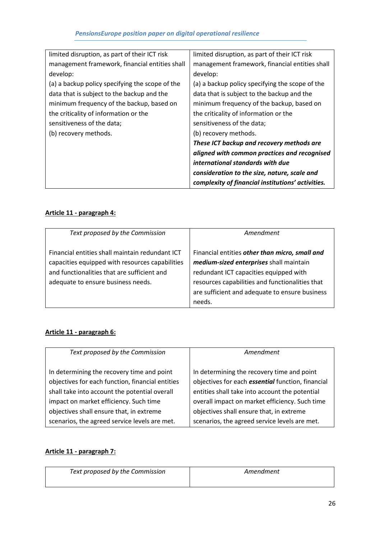| limited disruption, as part of their ICT risk   | limited disruption, as part of their ICT risk     |
|-------------------------------------------------|---------------------------------------------------|
| management framework, financial entities shall  | management framework, financial entities shall    |
| develop:                                        | develop:                                          |
| (a) a backup policy specifying the scope of the | (a) a backup policy specifying the scope of the   |
| data that is subject to the backup and the      | data that is subject to the backup and the        |
| minimum frequency of the backup, based on       | minimum frequency of the backup, based on         |
| the criticality of information or the           | the criticality of information or the             |
| sensitiveness of the data;                      | sensitiveness of the data;                        |
| (b) recovery methods.                           | (b) recovery methods.                             |
|                                                 | These ICT backup and recovery methods are         |
|                                                 | aligned with common practices and recognised      |
|                                                 | international standards with due                  |
|                                                 | consideration to the size, nature, scale and      |
|                                                 | complexity of financial institutions' activities. |

# **Article 11 - paragraph 4:**

| Text proposed by the Commission                                                                                                                                                         | Amendment                                                                                                                                                                                                                                          |
|-----------------------------------------------------------------------------------------------------------------------------------------------------------------------------------------|----------------------------------------------------------------------------------------------------------------------------------------------------------------------------------------------------------------------------------------------------|
| Financial entities shall maintain redundant ICT<br>capacities equipped with resources capabilities<br>and functionalities that are sufficient and<br>adequate to ensure business needs. | Financial entities other than micro, small and<br>medium-sized enterprises shall maintain<br>redundant ICT capacities equipped with<br>resources capabilities and functionalities that<br>are sufficient and adequate to ensure business<br>needs. |

# **Article 11 - paragraph 6:**

| Text proposed by the Commission                                                                | Amendment                                                                                              |
|------------------------------------------------------------------------------------------------|--------------------------------------------------------------------------------------------------------|
| In determining the recovery time and point<br>objectives for each function, financial entities | In determining the recovery time and point<br>objectives for each <i>essential</i> function, financial |
| shall take into account the potential overall                                                  | entities shall take into account the potential                                                         |
| impact on market efficiency. Such time                                                         | overall impact on market efficiency. Such time                                                         |
| objectives shall ensure that, in extreme                                                       | objectives shall ensure that, in extreme                                                               |
| scenarios, the agreed service levels are met.                                                  | scenarios, the agreed service levels are met.                                                          |

#### **Article 11 - paragraph 7:**

| Text proposed by the Commission | Amendment |
|---------------------------------|-----------|
|                                 |           |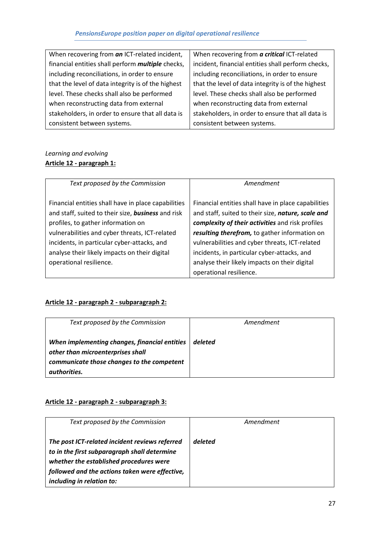| When recovering from an ICT-related incident,            | When recovering from a critical ICT-related        |
|----------------------------------------------------------|----------------------------------------------------|
| financial entities shall perform <i>multiple</i> checks, | incident, financial entities shall perform checks, |
| including reconciliations, in order to ensure            | including reconciliations, in order to ensure      |
| that the level of data integrity is of the highest       | that the level of data integrity is of the highest |
| level. These checks shall also be performed              | level. These checks shall also be performed        |
| when reconstructing data from external                   | when reconstructing data from external             |
| stakeholders, in order to ensure that all data is        | stakeholders, in order to ensure that all data is  |
| consistent between systems.                              | consistent between systems.                        |

# *Learning and evolving* **Article 12 - paragraph 1:**

| Text proposed by the Commission                     | Amendment                                           |
|-----------------------------------------------------|-----------------------------------------------------|
|                                                     |                                                     |
| Financial entities shall have in place capabilities | Financial entities shall have in place capabilities |
| and staff, suited to their size, business and risk  | and staff, suited to their size, nature, scale and  |
| profiles, to gather information on                  | complexity of their activities and risk profiles    |
| vulnerabilities and cyber threats, ICT-related      | resulting therefrom, to gather information on       |
| incidents, in particular cyber-attacks, and         | vulnerabilities and cyber threats, ICT-related      |
| analyse their likely impacts on their digital       | incidents, in particular cyber-attacks, and         |
| operational resilience.                             | analyse their likely impacts on their digital       |
|                                                     | operational resilience.                             |

# **Article 12 - paragraph 2 - subparagraph 2:**

| Text proposed by the Commission                                                                                                                  | Amendment |
|--------------------------------------------------------------------------------------------------------------------------------------------------|-----------|
| When implementing changes, financial entities<br>other than microenterprises shall<br>communicate those changes to the competent<br>authorities. | deleted   |

# **Article 12 - paragraph 2 - subparagraph 3:**

| Text proposed by the Commission                | Amendment |
|------------------------------------------------|-----------|
|                                                |           |
|                                                |           |
| The post ICT-related incident reviews referred | deleted   |
|                                                |           |
| to in the first subparagraph shall determine   |           |
|                                                |           |
| whether the established procedures were        |           |
| followed and the actions taken were effective, |           |
|                                                |           |
| including in relation to:                      |           |
|                                                |           |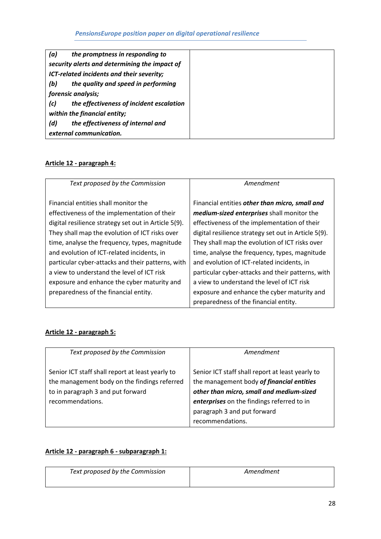| (a) | the promptness in responding to               |
|-----|-----------------------------------------------|
|     | security alerts and determining the impact of |
|     | ICT-related incidents and their severity;     |
| (b) | the quality and speed in performing           |
|     | forensic analysis;                            |
| (c) | the effectiveness of incident escalation      |
|     | within the financial entity;                  |
| (d) | the effectiveness of internal and             |
|     | external communication.                       |

# **Article 12 - paragraph 4:**

| Text proposed by the Commission                      | Amendment                                            |
|------------------------------------------------------|------------------------------------------------------|
|                                                      |                                                      |
| Financial entities shall monitor the                 | Financial entities other than micro, small and       |
| effectiveness of the implementation of their         | medium-sized enterprises shall monitor the           |
| digital resilience strategy set out in Article 5(9). | effectiveness of the implementation of their         |
| They shall map the evolution of ICT risks over       | digital resilience strategy set out in Article 5(9). |
| time, analyse the frequency, types, magnitude        | They shall map the evolution of ICT risks over       |
| and evolution of ICT-related incidents, in           | time, analyse the frequency, types, magnitude        |
| particular cyber-attacks and their patterns, with    | and evolution of ICT-related incidents, in           |
| a view to understand the level of ICT risk           | particular cyber-attacks and their patterns, with    |
| exposure and enhance the cyber maturity and          | a view to understand the level of ICT risk           |
| preparedness of the financial entity.                | exposure and enhance the cyber maturity and          |
|                                                      | preparedness of the financial entity.                |

# **Article 12 - paragraph 5:**

| Text proposed by the Commission                                                                                                                           | Amendment                                                                                                                                                                                                                                  |
|-----------------------------------------------------------------------------------------------------------------------------------------------------------|--------------------------------------------------------------------------------------------------------------------------------------------------------------------------------------------------------------------------------------------|
| Senior ICT staff shall report at least yearly to<br>the management body on the findings referred<br>to in paragraph 3 and put forward<br>recommendations. | Senior ICT staff shall report at least yearly to<br>the management body of financial entities<br>other than micro, small and medium-sized<br>enterprises on the findings referred to in<br>paragraph 3 and put forward<br>recommendations. |

### **Article 12 - paragraph 6 - subparagraph 1:**

| Text proposed by the Commission | Amendment |
|---------------------------------|-----------|
|                                 |           |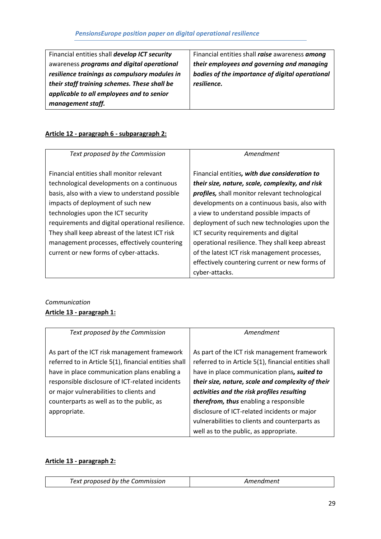Financial entities shall *develop ICT security* awareness *programs and digital operational resilience trainings as compulsory modules in their staff training schemes. These shall be applicable to all employees and to senior management staff.* 

Financial entities shall *raise* awareness *among their employees and governing and managing bodies of the importance of digital operational resilience.*

## **Article 12 - paragraph 6 - subparagraph 2:**

| Text proposed by the Commission                  | Amendment                                              |
|--------------------------------------------------|--------------------------------------------------------|
| Financial entities shall monitor relevant        | Financial entities, with due consideration to          |
| technological developments on a continuous       | their size, nature, scale, complexity, and risk        |
| basis, also with a view to understand possible   | <b>profiles</b> , shall monitor relevant technological |
| impacts of deployment of such new                | developments on a continuous basis, also with          |
| technologies upon the ICT security               | a view to understand possible impacts of               |
| requirements and digital operational resilience. | deployment of such new technologies upon the           |
| They shall keep abreast of the latest ICT risk   | ICT security requirements and digital                  |
| management processes, effectively countering     | operational resilience. They shall keep abreast        |
| current or new forms of cyber-attacks.           | of the latest ICT risk management processes,           |
|                                                  | effectively countering current or new forms of         |
|                                                  | cyber-attacks.                                         |

### *Communication* **Article 13 - paragraph 1:**

| Text proposed by the Commission                                                                                                                                                                                                                     | Amendment                                                                                                                                                                                                                                                |
|-----------------------------------------------------------------------------------------------------------------------------------------------------------------------------------------------------------------------------------------------------|----------------------------------------------------------------------------------------------------------------------------------------------------------------------------------------------------------------------------------------------------------|
| As part of the ICT risk management framework<br>referred to in Article 5(1), financial entities shall<br>have in place communication plans enabling a<br>responsible disclosure of ICT-related incidents<br>or major vulnerabilities to clients and | As part of the ICT risk management framework<br>referred to in Article 5(1), financial entities shall<br>have in place communication plans, suited to<br>their size, nature, scale and complexity of their<br>activities and the risk profiles resulting |
| counterparts as well as to the public, as<br>appropriate.                                                                                                                                                                                           | therefrom, thus enabling a responsible<br>disclosure of ICT-related incidents or major<br>vulnerabilities to clients and counterparts as<br>well as to the public, as appropriate.                                                                       |

#### **Article 13 - paragraph 2:**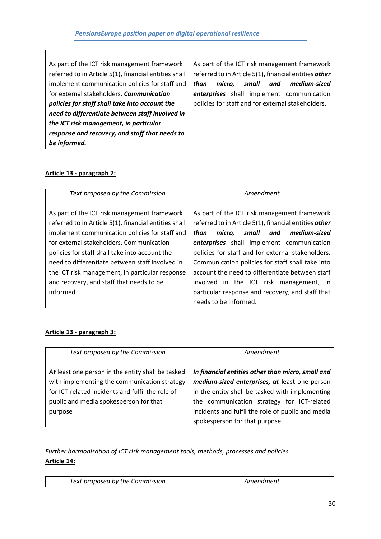Τ

### **Article 13 - paragraph 2:**

| Text proposed by the Commission                                                                                                                                                                                                                                                                                                                                                                                      | Amendment                                                                                                                                                                                                                                                                                                                                                                                                                                                       |
|----------------------------------------------------------------------------------------------------------------------------------------------------------------------------------------------------------------------------------------------------------------------------------------------------------------------------------------------------------------------------------------------------------------------|-----------------------------------------------------------------------------------------------------------------------------------------------------------------------------------------------------------------------------------------------------------------------------------------------------------------------------------------------------------------------------------------------------------------------------------------------------------------|
| As part of the ICT risk management framework<br>referred to in Article 5(1), financial entities shall<br>implement communication policies for staff and<br>for external stakeholders. Communication<br>policies for staff shall take into account the<br>need to differentiate between staff involved in<br>the ICT risk management, in particular response<br>and recovery, and staff that needs to be<br>informed. | As part of the ICT risk management framework<br>referred to in Article 5(1), financial entities other<br>small<br>than<br>micro.<br>and<br>medium-sized<br>enterprises shall implement communication<br>policies for staff and for external stakeholders.<br>Communication policies for staff shall take into<br>account the need to differentiate between staff<br>involved in the ICT risk management, in<br>particular response and recovery, and staff that |
|                                                                                                                                                                                                                                                                                                                                                                                                                      | needs to be informed.                                                                                                                                                                                                                                                                                                                                                                                                                                           |

#### **Article 13 - paragraph 3:**

| Text proposed by the Commission                                                                                                                                                                            | Amendment                                                                                                                                                                                                                                                                                  |
|------------------------------------------------------------------------------------------------------------------------------------------------------------------------------------------------------------|--------------------------------------------------------------------------------------------------------------------------------------------------------------------------------------------------------------------------------------------------------------------------------------------|
| At least one person in the entity shall be tasked<br>with implementing the communication strategy<br>for ICT-related incidents and fulfil the role of<br>public and media spokesperson for that<br>purpose | In financial entities other than micro, small and<br>medium-sized enterprises, at least one person<br>in the entity shall be tasked with implementing<br>the communication strategy for ICT-related<br>incidents and fulfil the role of public and media<br>spokesperson for that purpose. |

*Further harmonisation of ICT risk management tools, methods, processes and policies* **Article 14:**

| Text proposed by the Commission | Amendment |
|---------------------------------|-----------|
|---------------------------------|-----------|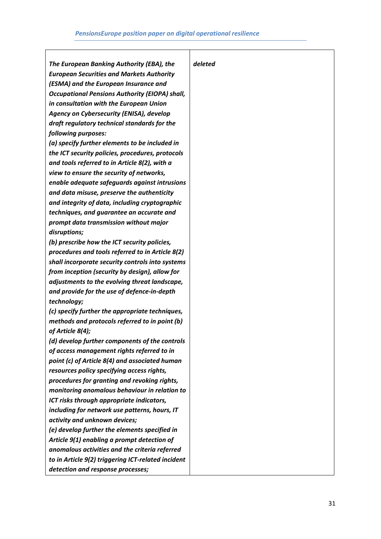$\top$ 

| The European Banking Authority (EBA), the             | deleted |
|-------------------------------------------------------|---------|
| <b>European Securities and Markets Authority</b>      |         |
| (ESMA) and the European Insurance and                 |         |
| <b>Occupational Pensions Authority (EIOPA) shall,</b> |         |
| in consultation with the European Union               |         |
| Agency on Cybersecurity (ENISA), develop              |         |
| draft regulatory technical standards for the          |         |
| following purposes:                                   |         |
| (a) specify further elements to be included in        |         |
| the ICT security policies, procedures, protocols      |         |
| and tools referred to in Article 8(2), with a         |         |
| view to ensure the security of networks,              |         |
| enable adequate safeguards against intrusions         |         |
| and data misuse, preserve the authenticity            |         |
| and integrity of data, including cryptographic        |         |
| techniques, and guarantee an accurate and             |         |
| prompt data transmission without major                |         |
| disruptions;                                          |         |
| (b) prescribe how the ICT security policies,          |         |
| procedures and tools referred to in Article 8(2)      |         |
| shall incorporate security controls into systems      |         |
| from inception (security by design), allow for        |         |
| adjustments to the evolving threat landscape,         |         |
| and provide for the use of defence-in-depth           |         |
| technology;                                           |         |
| (c) specify further the appropriate techniques,       |         |
| methods and protocols referred to in point (b)        |         |
| of Article 8(4);                                      |         |
| (d) develop further components of the controls        |         |
| of access management rights referred to in            |         |
| point (c) of Article 8(4) and associated human        |         |
| resources policy specifying access rights,            |         |
| procedures for granting and revoking rights,          |         |
| monitoring anomalous behaviour in relation to         |         |
| ICT risks through appropriate indicators,             |         |
| including for network use patterns, hours, IT         |         |
| activity and unknown devices;                         |         |
| (e) develop further the elements specified in         |         |
| Article 9(1) enabling a prompt detection of           |         |
| anomalous activities and the criteria referred        |         |
| to in Article 9(2) triggering ICT-related incident    |         |
| detection and response processes;                     |         |
|                                                       |         |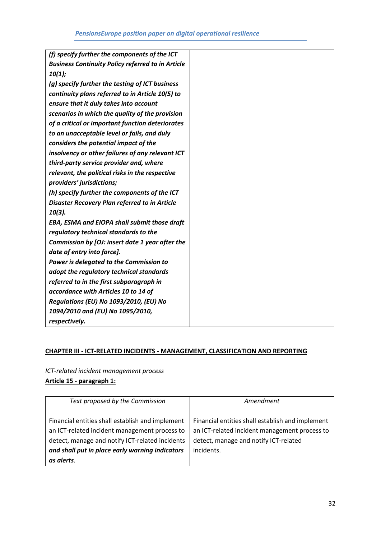### **CHAPTER III - ICT-RELATED INCIDENTS - MANAGEMENT, CLASSIFICATION AND REPORTING**

*ICT-related incident management process* **Article 15 - paragraph 1:**

| Text proposed by the Commission                                                                                                                                                                                       | Amendment                                                                                                                                                |
|-----------------------------------------------------------------------------------------------------------------------------------------------------------------------------------------------------------------------|----------------------------------------------------------------------------------------------------------------------------------------------------------|
| Financial entities shall establish and implement<br>an ICT-related incident management process to<br>detect, manage and notify ICT-related incidents<br>and shall put in place early warning indicators<br>as alerts. | Financial entities shall establish and implement<br>an ICT-related incident management process to<br>detect, manage and notify ICT-related<br>incidents. |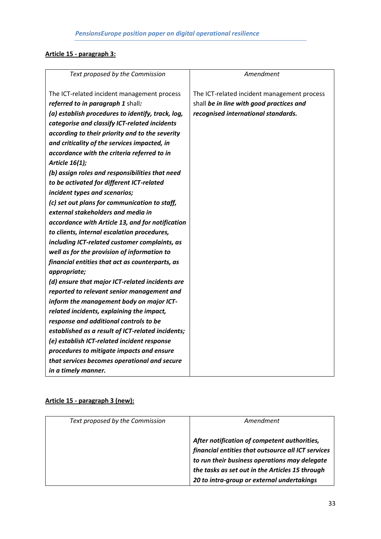# **Article 15 - paragraph 3:**

| Text proposed by the Commission                   | Amendment                                   |
|---------------------------------------------------|---------------------------------------------|
|                                                   |                                             |
| The ICT-related incident management process       | The ICT-related incident management process |
| referred to in paragraph 1 shall:                 | shall be in line with good practices and    |
| (a) establish procedures to identify, track, log, | recognised international standards.         |
| categorise and classify ICT-related incidents     |                                             |
| according to their priority and to the severity   |                                             |
| and criticality of the services impacted, in      |                                             |
| accordance with the criteria referred to in       |                                             |
| Article 16(1);                                    |                                             |
| (b) assign roles and responsibilities that need   |                                             |
| to be activated for different ICT-related         |                                             |
| incident types and scenarios;                     |                                             |
| (c) set out plans for communication to staff,     |                                             |
| external stakeholders and media in                |                                             |
| accordance with Article 13, and for notification  |                                             |
| to clients, internal escalation procedures,       |                                             |
| including ICT-related customer complaints, as     |                                             |
| well as for the provision of information to       |                                             |
| financial entities that act as counterparts, as   |                                             |
| appropriate;                                      |                                             |
| (d) ensure that major ICT-related incidents are   |                                             |
| reported to relevant senior management and        |                                             |
| inform the management body on major ICT-          |                                             |
| related incidents, explaining the impact,         |                                             |
| response and additional controls to be            |                                             |
| established as a result of ICT-related incidents; |                                             |
| (e) establish ICT-related incident response       |                                             |
| procedures to mitigate impacts and ensure         |                                             |
| that services becomes operational and secure      |                                             |
| in a timely manner.                               |                                             |

# **Article 15 - paragraph 3 (new):**

| Text proposed by the Commission | Amendment                                                                                                                                                                                              |
|---------------------------------|--------------------------------------------------------------------------------------------------------------------------------------------------------------------------------------------------------|
|                                 | After notification of competent authorities,<br>financial entities that outsource all ICT services<br>to run their business operations may delegate<br>the tasks as set out in the Articles 15 through |
|                                 | 20 to intra-group or external undertakings                                                                                                                                                             |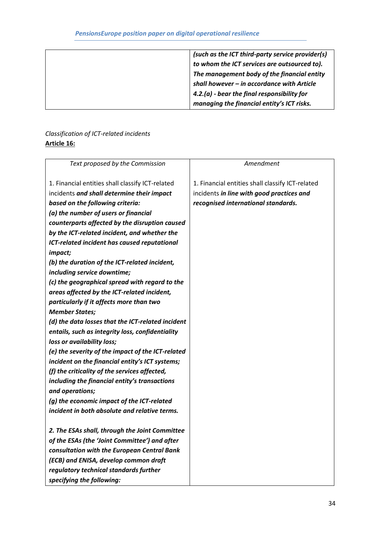*(such as the ICT third-party service provider(s) to whom the ICT services are outsourced to). The management body of the financial entity shall however – in accordance with Article 4.2.(a) - bear the final responsibility for managing the financial entity's ICT risks.*

# *Classification of ICT-related incidents* **Article 16:**

| Text proposed by the Commission                     | Amendment                                        |
|-----------------------------------------------------|--------------------------------------------------|
|                                                     |                                                  |
| 1. Financial entities shall classify ICT-related    | 1. Financial entities shall classify ICT-related |
| incidents and shall determine their impact          | incidents in line with good practices and        |
| based on the following criteria:                    | recognised international standards.              |
| (a) the number of users or financial                |                                                  |
| counterparts affected by the disruption caused      |                                                  |
| by the ICT-related incident, and whether the        |                                                  |
| <b>ICT-related incident has caused reputational</b> |                                                  |
| impact;                                             |                                                  |
| (b) the duration of the ICT-related incident,       |                                                  |
| including service downtime;                         |                                                  |
| (c) the geographical spread with regard to the      |                                                  |
| areas affected by the ICT-related incident,         |                                                  |
| particularly if it affects more than two            |                                                  |
| <b>Member States;</b>                               |                                                  |
| (d) the data losses that the ICT-related incident   |                                                  |
| entails, such as integrity loss, confidentiality    |                                                  |
| loss or availability loss;                          |                                                  |
| (e) the severity of the impact of the ICT-related   |                                                  |
| incident on the financial entity's ICT systems;     |                                                  |
| (f) the criticality of the services affected,       |                                                  |
| including the financial entity's transactions       |                                                  |
| and operations;                                     |                                                  |
| (g) the economic impact of the ICT-related          |                                                  |
| incident in both absolute and relative terms.       |                                                  |
|                                                     |                                                  |
| 2. The ESAs shall, through the Joint Committee      |                                                  |
| of the ESAs (the 'Joint Committee') and after       |                                                  |
| consultation with the European Central Bank         |                                                  |
| (ECB) and ENISA, develop common draft               |                                                  |
| regulatory technical standards further              |                                                  |
| specifying the following:                           |                                                  |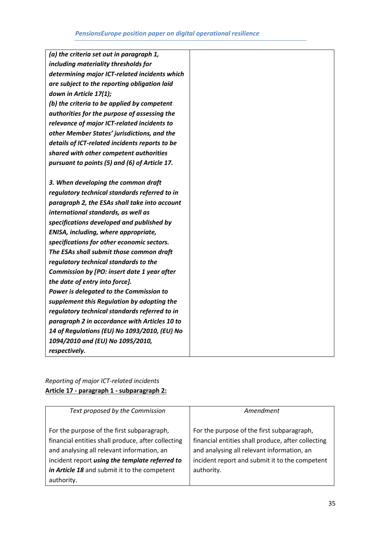| (a) the criteria set out in paragraph 1,       |
|------------------------------------------------|
| including materiality thresholds for           |
| determining major ICT-related incidents which  |
| are subject to the reporting obligation laid   |
| down in Article 17(1);                         |
| (b) the criteria to be applied by competent    |
| authorities for the purpose of assessing the   |
| relevance of major ICT-related incidents to    |
| other Member States' jurisdictions, and the    |
| details of ICT-related incidents reports to be |
| shared with other competent authorities        |
| pursuant to points (5) and (6) of Article 17.  |
|                                                |
| 3. When developing the common draft            |
| regulatory technical standards referred to in  |
| paragraph 2, the ESAs shall take into account  |
| international standards, as well as            |
| specifications developed and published by      |
| ENISA, including, where appropriate,           |
| specifications for other economic sectors.     |
| The ESAs shall submit those common draft       |
| regulatory technical standards to the          |
| Commission by [PO: insert date 1 year after    |
| the date of entry into force].                 |
| Power is delegated to the Commission to        |
| supplement this Regulation by adopting the     |
| regulatory technical standards referred to in  |
| paragraph 2 in accordance with Articles 10 to  |
| 14 of Regulations (EU) No 1093/2010, (EU) No   |
| 1094/2010 and (EU) No 1095/2010,               |
| respectively.                                  |
|                                                |

# *Reporting of major ICT-related incidents* **Article 17 - paragraph 1 - subparagraph 2:**

| Text proposed by the Commission                                                                                                                                                                                                                                | Amendment                                                                                                                                                                                                      |
|----------------------------------------------------------------------------------------------------------------------------------------------------------------------------------------------------------------------------------------------------------------|----------------------------------------------------------------------------------------------------------------------------------------------------------------------------------------------------------------|
| For the purpose of the first subparagraph,<br>financial entities shall produce, after collecting<br>and analysing all relevant information, an<br>incident report using the template referred to<br>in Article 18 and submit it to the competent<br>authority. | For the purpose of the first subparagraph,<br>financial entities shall produce, after collecting<br>and analysing all relevant information, an<br>incident report and submit it to the competent<br>authority. |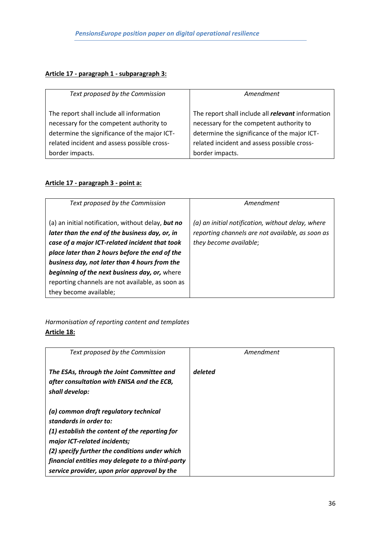### **Article 17 - paragraph 1 - subparagraph 3:**

| Text proposed by the Commission              | Amendment                                                |
|----------------------------------------------|----------------------------------------------------------|
| The report shall include all information     | The report shall include all <i>relevant</i> information |
| necessary for the competent authority to     | necessary for the competent authority to                 |
| determine the significance of the major ICT- | determine the significance of the major ICT-             |
| related incident and assess possible cross-  | related incident and assess possible cross-              |
| border impacts.                              | border impacts.                                          |

### **Article 17 - paragraph 3 - point a:**

| Text proposed by the Commission                                                                                                                                                                          | Amendment                                                                                                                       |
|----------------------------------------------------------------------------------------------------------------------------------------------------------------------------------------------------------|---------------------------------------------------------------------------------------------------------------------------------|
| (a) an initial notification, without delay, but no<br>later than the end of the business day, or, in<br>case of a major ICT-related incident that took<br>place later than 2 hours before the end of the | (a) an initial notification, without delay, where<br>reporting channels are not available, as soon as<br>they become available; |
| business day, not later than 4 hours from the<br>beginning of the next business day, or, where                                                                                                           |                                                                                                                                 |
| reporting channels are not available, as soon as<br>they become available;                                                                                                                               |                                                                                                                                 |

*Harmonisation of reporting content and templates* **Article 18:**

| Text proposed by the Commission                                                                                                                                                                                                                                                                         | Amendment |
|---------------------------------------------------------------------------------------------------------------------------------------------------------------------------------------------------------------------------------------------------------------------------------------------------------|-----------|
| The ESAs, through the Joint Committee and<br>after consultation with ENISA and the ECB,<br>shall develop:                                                                                                                                                                                               | deleted   |
| (a) common draft regulatory technical<br>standards in order to:<br>(1) establish the content of the reporting for<br>major ICT-related incidents;<br>(2) specify further the conditions under which<br>financial entities may delegate to a third-party<br>service provider, upon prior approval by the |           |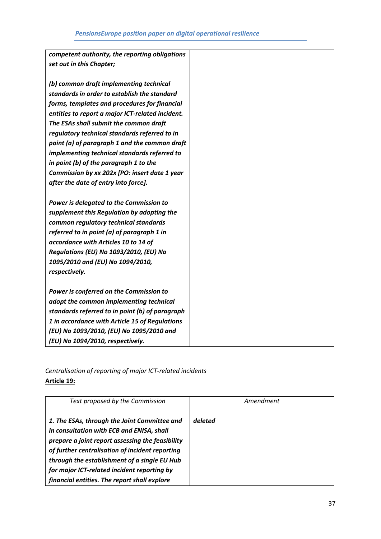| competent authority, the reporting obligations   |  |
|--------------------------------------------------|--|
| set out in this Chapter;                         |  |
|                                                  |  |
| (b) common draft implementing technical          |  |
| standards in order to establish the standard     |  |
| forms, templates and procedures for financial    |  |
| entities to report a major ICT-related incident. |  |
| The ESAs shall submit the common draft           |  |
| regulatory technical standards referred to in    |  |
| point (a) of paragraph 1 and the common draft    |  |
| implementing technical standards referred to     |  |
| in point (b) of the paragraph 1 to the           |  |
| Commission by xx 202x [PO: insert date 1 year    |  |
| after the date of entry into force].             |  |
|                                                  |  |
| Power is delegated to the Commission to          |  |
| supplement this Regulation by adopting the       |  |
| common regulatory technical standards            |  |
| referred to in point (a) of paragraph 1 in       |  |
| accordance with Articles 10 to 14 of             |  |
| Regulations (EU) No 1093/2010, (EU) No           |  |
| 1095/2010 and (EU) No 1094/2010,                 |  |
| respectively.                                    |  |
|                                                  |  |
| Power is conferred on the Commission to          |  |
| adopt the common implementing technical          |  |
| standards referred to in point (b) of paragraph  |  |
| 1 in accordance with Article 15 of Regulations   |  |
| (EU) No 1093/2010, (EU) No 1095/2010 and         |  |
| (EU) No 1094/2010, respectively.                 |  |

*Centralisation of reporting of major ICT-related incidents* **Article 19:**

| Text proposed by the Commission                                                                                                                                                                                                                                                                                                                 | Amendment |
|-------------------------------------------------------------------------------------------------------------------------------------------------------------------------------------------------------------------------------------------------------------------------------------------------------------------------------------------------|-----------|
| 1. The ESAs, through the Joint Committee and<br>in consultation with ECB and ENISA, shall<br>prepare a joint report assessing the feasibility<br>of further centralisation of incident reporting<br>through the establishment of a single EU Hub<br>for major ICT-related incident reporting by<br>financial entities. The report shall explore | deleted   |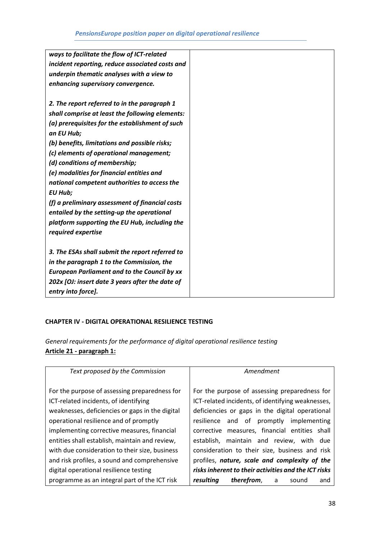| ways to facilitate the flow of ICT-related          |  |
|-----------------------------------------------------|--|
| incident reporting, reduce associated costs and     |  |
| underpin thematic analyses with a view to           |  |
| enhancing supervisory convergence.                  |  |
|                                                     |  |
| 2. The report referred to in the paragraph 1        |  |
| shall comprise at least the following elements:     |  |
| (a) prerequisites for the establishment of such     |  |
| an EU Hub;                                          |  |
| (b) benefits, limitations and possible risks;       |  |
| (c) elements of operational management;             |  |
| (d) conditions of membership;                       |  |
| (e) modalities for financial entities and           |  |
| national competent authorities to access the        |  |
| <b>EU Hub;</b>                                      |  |
| (f) a preliminary assessment of financial costs     |  |
| entailed by the setting-up the operational          |  |
| platform supporting the EU Hub, including the       |  |
| required expertise                                  |  |
|                                                     |  |
| 3. The ESAs shall submit the report referred to     |  |
| in the paragraph 1 to the Commission, the           |  |
| <b>European Parliament and to the Council by xx</b> |  |
| 202x [OJ: insert date 3 years after the date of     |  |
| entry into force].                                  |  |

#### **CHAPTER IV - DIGITAL OPERATIONAL RESILIENCE TESTING**

*General requirements for the performance of digital operational resilience testing* **Article 21 - paragraph 1:**

| Text proposed by the Commission                                                        | Amendment                                                                                          |
|----------------------------------------------------------------------------------------|----------------------------------------------------------------------------------------------------|
| For the purpose of assessing preparedness for<br>ICT-related incidents, of identifying | For the purpose of assessing preparedness for<br>ICT-related incidents, of identifying weaknesses, |
| weaknesses, deficiencies or gaps in the digital                                        | deficiencies or gaps in the digital operational                                                    |
| operational resilience and of promptly                                                 | and of promptly<br>implementing<br>resilience                                                      |
| implementing corrective measures, financial                                            | corrective measures, financial entities shall                                                      |
| entities shall establish, maintain and review,                                         | maintain and review, with due<br>establish.                                                        |
| with due consideration to their size, business                                         | consideration to their size, business and risk                                                     |
| and risk profiles, a sound and comprehensive                                           | profiles, nature, scale and complexity of the                                                      |
| digital operational resilience testing                                                 | risks inherent to their activities and the ICT risks                                               |
| programme as an integral part of the ICT risk                                          | resultina<br>therefrom,<br>and<br>a<br>sound                                                       |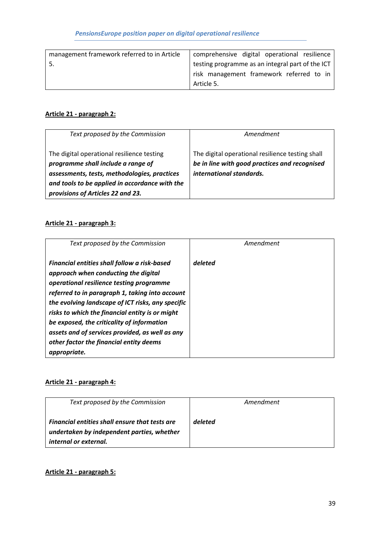| management framework referred to in Article | comprehensive digital operational resilience     |
|---------------------------------------------|--------------------------------------------------|
|                                             | testing programme as an integral part of the ICT |
|                                             | risk management framework referred to in         |
|                                             | Article 5.                                       |

# **Article 21 - paragraph 2:**

| Text proposed by the Commission                                                     | Amendment                                                                                         |
|-------------------------------------------------------------------------------------|---------------------------------------------------------------------------------------------------|
| The digital operational resilience testing<br>programme shall include a range of    | The digital operational resilience testing shall<br>be in line with good practices and recognised |
| assessments, tests, methodologies, practices                                        | international standards.                                                                          |
| and tools to be applied in accordance with the<br>provisions of Articles 22 and 23. |                                                                                                   |

# **Article 21 - paragraph 3:**

| Text proposed by the Commission                                                                                                                                                                                                                                                                                                                                                                                                                         | Amendment |
|---------------------------------------------------------------------------------------------------------------------------------------------------------------------------------------------------------------------------------------------------------------------------------------------------------------------------------------------------------------------------------------------------------------------------------------------------------|-----------|
| Financial entities shall follow a risk-based<br>approach when conducting the digital<br>operational resilience testing programme<br>referred to in paragraph 1, taking into account<br>the evolving landscape of ICT risks, any specific<br>risks to which the financial entity is or might<br>be exposed, the criticality of information<br>assets and of services provided, as well as any<br>other factor the financial entity deems<br>appropriate. | deleted   |

# **Article 21 - paragraph 4:**

| Text proposed by the Commission                                                                                              | Amendment |
|------------------------------------------------------------------------------------------------------------------------------|-----------|
| <b>Financial entities shall ensure that tests are</b><br>undertaken by independent parties, whether<br>internal or external. | deleted   |

### **Article 21 - paragraph 5:**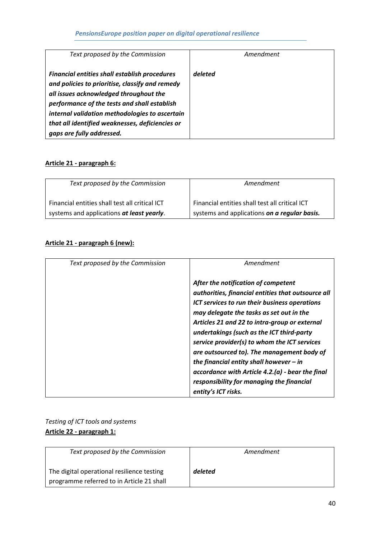| Text proposed by the Commission                      | Amendment |
|------------------------------------------------------|-----------|
|                                                      |           |
| <b>Financial entities shall establish procedures</b> | deleted   |
| and policies to prioritise, classify and remedy      |           |
| all issues acknowledged throughout the               |           |
| performance of the tests and shall establish         |           |
| internal validation methodologies to ascertain       |           |
| that all identified weaknesses, deficiencies or      |           |
| gaps are fully addressed.                            |           |

# **Article 21 - paragraph 6:**

| Text proposed by the Commission                | Amendment                                      |
|------------------------------------------------|------------------------------------------------|
| Financial entities shall test all critical ICT | Financial entities shall test all critical ICT |
| systems and applications at least yearly.      | systems and applications on a regular basis.   |

### **Article 21 - paragraph 6 (new):**

| Text proposed by the Commission | Amendment                                                                                                                                                                                                                                                                                                                                                                                                                                                                                                                                               |
|---------------------------------|---------------------------------------------------------------------------------------------------------------------------------------------------------------------------------------------------------------------------------------------------------------------------------------------------------------------------------------------------------------------------------------------------------------------------------------------------------------------------------------------------------------------------------------------------------|
|                                 | After the notification of competent<br>authorities, financial entities that outsource all<br>ICT services to run their business operations<br>may delegate the tasks as set out in the<br>Articles 21 and 22 to intra-group or external<br>undertakings (such as the ICT third-party<br>service provider(s) to whom the ICT services<br>are outsourced to). The management body of<br>the financial entity shall however $-$ in<br>accordance with Article 4.2.(a) - bear the final<br>responsibility for managing the financial<br>entity's ICT risks. |

# *Testing of ICT tools and systems* **Article 22 - paragraph 1:**

| Text proposed by the Commission            | Amendment |
|--------------------------------------------|-----------|
| The digital operational resilience testing | deleted   |
| programme referred to in Article 21 shall  |           |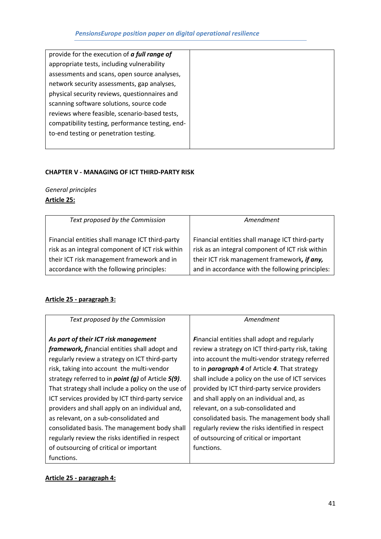#### **CHAPTER V - MANAGING OF ICT THIRD-PARTY RISK**

*General principles* **Article 25:**

| Text proposed by the Commission                  | Amendment                                        |
|--------------------------------------------------|--------------------------------------------------|
| Financial entities shall manage ICT third-party  | Financial entities shall manage ICT third-party  |
| risk as an integral component of ICT risk within | risk as an integral component of ICT risk within |
| their ICT risk management framework and in       | their ICT risk management framework, if any,     |
| accordance with the following principles:        | and in accordance with the following principles: |

### **Article 25 - paragraph 3:**

| Text proposed by the Commission                                | Amendment                                            |
|----------------------------------------------------------------|------------------------------------------------------|
|                                                                |                                                      |
| As part of their ICT risk management                           | Financial entities shall adopt and regularly         |
| framework, financial entities shall adopt and                  | review a strategy on ICT third-party risk, taking    |
| regularly review a strategy on ICT third-party                 | into account the multi-vendor strategy referred      |
| risk, taking into account the multi-vendor                     | to in <i>paragraph 4</i> of Article 4. That strategy |
| strategy referred to in <i>point</i> $(g)$ of Article $5(9)$ . | shall include a policy on the use of ICT services    |
| That strategy shall include a policy on the use of             | provided by ICT third-party service providers        |
| ICT services provided by ICT third-party service               | and shall apply on an individual and, as             |
| providers and shall apply on an individual and,                | relevant, on a sub-consolidated and                  |
| as relevant, on a sub-consolidated and                         | consolidated basis. The management body shall        |
| consolidated basis. The management body shall                  | regularly review the risks identified in respect     |
| regularly review the risks identified in respect               | of outsourcing of critical or important              |
| of outsourcing of critical or important                        | functions.                                           |
| functions.                                                     |                                                      |

# **Article 25 - paragraph 4:**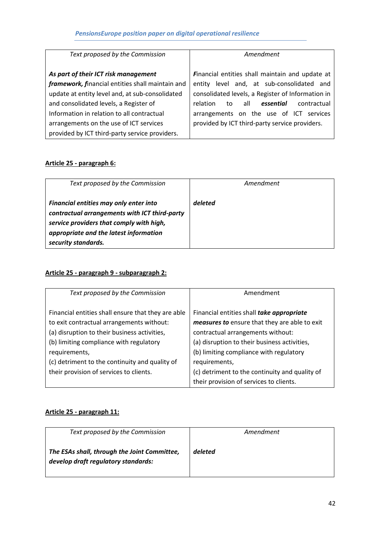| Text proposed by the Commission                  | Amendment                                         |
|--------------------------------------------------|---------------------------------------------------|
| As part of their ICT risk management             | Financial entities shall maintain and update at   |
| framework, financial entities shall maintain and | level and, at sub-consolidated and<br>entity      |
| update at entity level and, at sub-consolidated  | consolidated levels, a Register of Information in |
| and consolidated levels, a Register of           | relation<br>all<br>essential<br>contractual<br>to |
| Information in relation to all contractual       | arrangements on the use of ICT services           |
| arrangements on the use of ICT services          | provided by ICT third-party service providers.    |
| provided by ICT third-party service providers.   |                                                   |

# **Article 25 - paragraph 6:**

| Text proposed by the Commission                                                                                                                                                                      | Amendment |
|------------------------------------------------------------------------------------------------------------------------------------------------------------------------------------------------------|-----------|
| Financial entities may only enter into<br>contractual arrangements with ICT third-party<br>service providers that comply with high,<br>appropriate and the latest information<br>security standards. | deleted   |

# **Article 25 - paragraph 9 - subparagraph 2:**

| Text proposed by the Commission                    | Amendment                                      |
|----------------------------------------------------|------------------------------------------------|
| Financial entities shall ensure that they are able | Financial entities shall take appropriate      |
| to exit contractual arrangements without:          | measures to ensure that they are able to exit  |
| (a) disruption to their business activities,       | contractual arrangements without:              |
| (b) limiting compliance with regulatory            | (a) disruption to their business activities,   |
| requirements,                                      | (b) limiting compliance with regulatory        |
| (c) detriment to the continuity and quality of     | requirements,                                  |
| their provision of services to clients.            | (c) detriment to the continuity and quality of |
|                                                    | their provision of services to clients.        |

### **Article 25 - paragraph 11:**

| Text proposed by the Commission                                                     | Amendment |
|-------------------------------------------------------------------------------------|-----------|
| The ESAs shall, through the Joint Committee,<br>develop draft regulatory standards: | deleted   |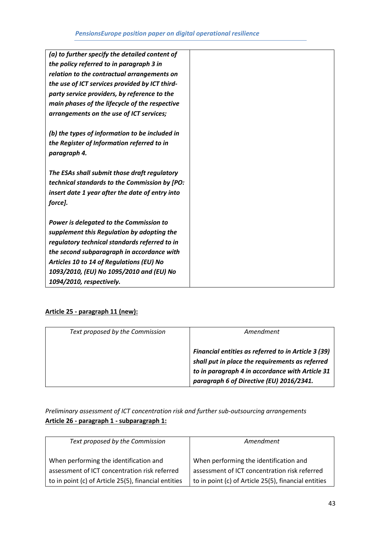| (a) to further specify the detailed content of  |  |
|-------------------------------------------------|--|
| the policy referred to in paragraph 3 in        |  |
| relation to the contractual arrangements on     |  |
| the use of ICT services provided by ICT third-  |  |
| party service providers, by reference to the    |  |
| main phases of the lifecycle of the respective  |  |
| arrangements on the use of ICT services;        |  |
| (b) the types of information to be included in  |  |
| the Register of Information referred to in      |  |
| paragraph 4.                                    |  |
| The ESAs shall submit those draft regulatory    |  |
| technical standards to the Commission by [PO:   |  |
| insert date 1 year after the date of entry into |  |
| force].                                         |  |
| Power is delegated to the Commission to         |  |
| supplement this Regulation by adopting the      |  |
| regulatory technical standards referred to in   |  |
| the second subparagraph in accordance with      |  |
| Articles 10 to 14 of Regulations (EU) No        |  |
| 1093/2010, (EU) No 1095/2010 and (EU) No        |  |
| 1094/2010, respectively.                        |  |

### **Article 25 - paragraph 11 (new):**

| Text proposed by the Commission | Amendment                                                                                                                                                                                             |
|---------------------------------|-------------------------------------------------------------------------------------------------------------------------------------------------------------------------------------------------------|
|                                 | Financial entities as referred to in Article 3 (39)<br>shall put in place the requirements as referred<br>to in paragraph 4 in accordance with Article 31<br>paragraph 6 of Directive (EU) 2016/2341. |

# *Preliminary assessment of ICT concentration risk and further sub-outsourcing arrangements* **Article 26 - paragraph 1 - subparagraph 1:**

| Text proposed by the Commission                                                                       | Amendment                                                                                             |
|-------------------------------------------------------------------------------------------------------|-------------------------------------------------------------------------------------------------------|
| When performing the identification and                                                                | When performing the identification and                                                                |
| assessment of ICT concentration risk referred<br>to in point (c) of Article 25(5), financial entities | assessment of ICT concentration risk referred<br>to in point (c) of Article 25(5), financial entities |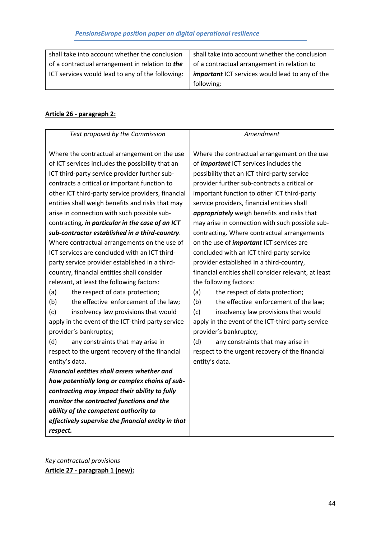| shall take into account whether the conclusion   | shall take into account whether the conclusion         |
|--------------------------------------------------|--------------------------------------------------------|
| of a contractual arrangement in relation to the  | of a contractual arrangement in relation to            |
| ICT services would lead to any of the following: | <i>important</i> ICT services would lead to any of the |
|                                                  | following:                                             |

# **Article 26 - paragraph 2:**

| Text proposed by the Commission                                                                                                                                                                                                                                                                                                                                                                                                                                                                                                                                                                                                                                                                                                                 | Amendment                                                                                                                                                                                                                                                                                                                                                                                                                                                                                                                                                                                                                                                             |
|-------------------------------------------------------------------------------------------------------------------------------------------------------------------------------------------------------------------------------------------------------------------------------------------------------------------------------------------------------------------------------------------------------------------------------------------------------------------------------------------------------------------------------------------------------------------------------------------------------------------------------------------------------------------------------------------------------------------------------------------------|-----------------------------------------------------------------------------------------------------------------------------------------------------------------------------------------------------------------------------------------------------------------------------------------------------------------------------------------------------------------------------------------------------------------------------------------------------------------------------------------------------------------------------------------------------------------------------------------------------------------------------------------------------------------------|
| Where the contractual arrangement on the use<br>of ICT services includes the possibility that an<br>ICT third-party service provider further sub-<br>contracts a critical or important function to<br>other ICT third-party service providers, financial<br>entities shall weigh benefits and risks that may                                                                                                                                                                                                                                                                                                                                                                                                                                    | Where the contractual arrangement on the use<br>of <i>important</i> ICT services includes the<br>possibility that an ICT third-party service<br>provider further sub-contracts a critical or<br>important function to other ICT third-party<br>service providers, financial entities shall                                                                                                                                                                                                                                                                                                                                                                            |
| arise in connection with such possible sub-                                                                                                                                                                                                                                                                                                                                                                                                                                                                                                                                                                                                                                                                                                     | appropriately weigh benefits and risks that                                                                                                                                                                                                                                                                                                                                                                                                                                                                                                                                                                                                                           |
| contracting, in particular in the case of an ICT<br>sub-contractor established in a third-country.<br>Where contractual arrangements on the use of<br>ICT services are concluded with an ICT third-<br>party service provider established in a third-<br>country, financial entities shall consider<br>relevant, at least the following factors:<br>(a)<br>the respect of data protection;<br>the effective enforcement of the law;<br>(b)<br>(c)<br>insolvency law provisions that would<br>apply in the event of the ICT-third party service<br>provider's bankruptcy;<br>(d)<br>any constraints that may arise in<br>respect to the urgent recovery of the financial<br>entity's data.<br><b>Financial entities shall assess whether and</b> | may arise in connection with such possible sub-<br>contracting. Where contractual arrangements<br>on the use of <i>important</i> ICT services are<br>concluded with an ICT third-party service<br>provider established in a third-country,<br>financial entities shall consider relevant, at least<br>the following factors:<br>(a)<br>the respect of data protection;<br>(b)<br>the effective enforcement of the law;<br>(c)<br>insolvency law provisions that would<br>apply in the event of the ICT-third party service<br>provider's bankruptcy;<br>(d)<br>any constraints that may arise in<br>respect to the urgent recovery of the financial<br>entity's data. |
| how potentially long or complex chains of sub-<br>contracting may impact their ability to fully                                                                                                                                                                                                                                                                                                                                                                                                                                                                                                                                                                                                                                                 |                                                                                                                                                                                                                                                                                                                                                                                                                                                                                                                                                                                                                                                                       |
| monitor the contracted functions and the                                                                                                                                                                                                                                                                                                                                                                                                                                                                                                                                                                                                                                                                                                        |                                                                                                                                                                                                                                                                                                                                                                                                                                                                                                                                                                                                                                                                       |
| ability of the competent authority to                                                                                                                                                                                                                                                                                                                                                                                                                                                                                                                                                                                                                                                                                                           |                                                                                                                                                                                                                                                                                                                                                                                                                                                                                                                                                                                                                                                                       |
| effectively supervise the financial entity in that                                                                                                                                                                                                                                                                                                                                                                                                                                                                                                                                                                                                                                                                                              |                                                                                                                                                                                                                                                                                                                                                                                                                                                                                                                                                                                                                                                                       |
| respect.                                                                                                                                                                                                                                                                                                                                                                                                                                                                                                                                                                                                                                                                                                                                        |                                                                                                                                                                                                                                                                                                                                                                                                                                                                                                                                                                                                                                                                       |

*Key contractual provisions* **Article 27 - paragraph 1 (new):**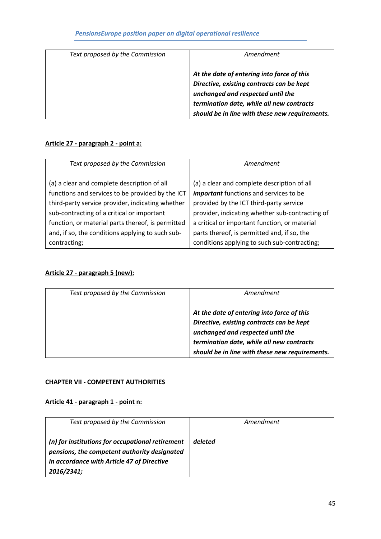| Text proposed by the Commission | Amendment                                                                                                                                                                                                                   |
|---------------------------------|-----------------------------------------------------------------------------------------------------------------------------------------------------------------------------------------------------------------------------|
|                                 | At the date of entering into force of this<br>Directive, existing contracts can be kept<br>unchanged and respected until the<br>termination date, while all new contracts<br>should be in line with these new requirements. |

### **Article 27 - paragraph 2 - point a:**

| Text proposed by the Commission                   | Amendment                                       |
|---------------------------------------------------|-------------------------------------------------|
|                                                   |                                                 |
| (a) a clear and complete description of all       | (a) a clear and complete description of all     |
| functions and services to be provided by the ICT  | <i>important</i> functions and services to be   |
| third-party service provider, indicating whether  | provided by the ICT third-party service         |
| sub-contracting of a critical or important        | provider, indicating whether sub-contracting of |
| function, or material parts thereof, is permitted | a critical or important function, or material   |
| and, if so, the conditions applying to such sub-  | parts thereof, is permitted and, if so, the     |
| contracting;                                      | conditions applying to such sub-contracting;    |

# **Article 27 - paragraph 5 (new):**

| Text proposed by the Commission | Amendment                                                                                                                                                                                                                   |
|---------------------------------|-----------------------------------------------------------------------------------------------------------------------------------------------------------------------------------------------------------------------------|
|                                 | At the date of entering into force of this<br>Directive, existing contracts can be kept<br>unchanged and respected until the<br>termination date, while all new contracts<br>should be in line with these new requirements. |

### **CHAPTER VII - COMPETENT AUTHORITIES**

### **Article 41 - paragraph 1 - point n:**

| Text proposed by the Commission                                                                                                                              | Amendment |
|--------------------------------------------------------------------------------------------------------------------------------------------------------------|-----------|
| (n) for institutions for occupational retirement<br>pensions, the competent authority designated<br>in accordance with Article 47 of Directive<br>2016/2341; | deleted   |